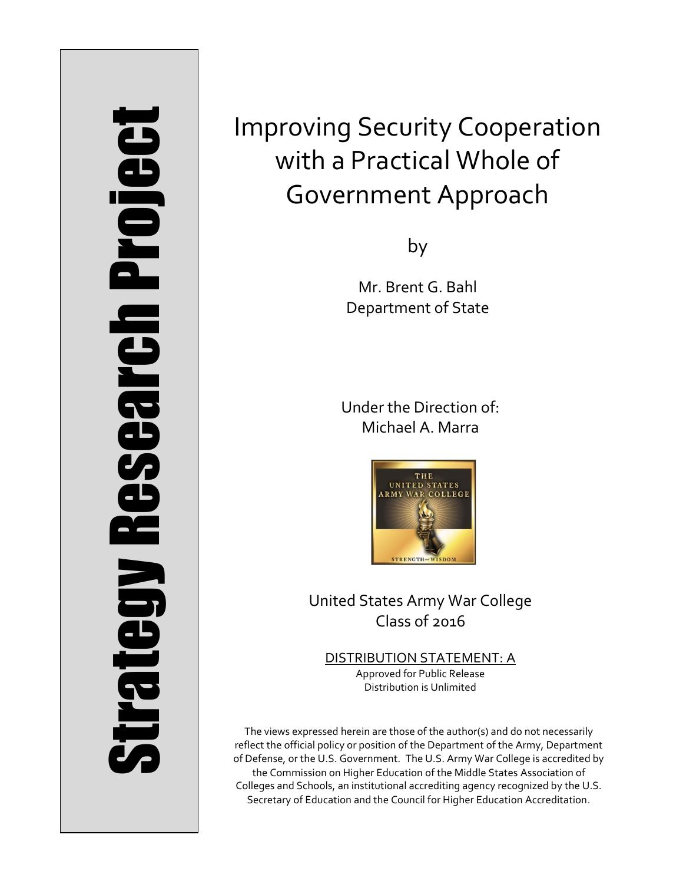# Strategy Research Project **Strategy Research Project**

# Improving Security Cooperation with a Practical Whole of Government Approach

by

Mr. Brent G. Bahl Department of State

Under the Direction of: Michael A. Marra



United States Army War College Class of 2016

DISTRIBUTION STATEMENT: A Approved for Public Release Distribution is Unlimited

The views expressed herein are those of the author(s) and do not necessarily reflect the official policy or position of the Department of the Army, Department of Defense, or the U.S. Government. The U.S. Army War College is accredited by the Commission on Higher Education of the Middle States Association of Colleges and Schools, an institutional accrediting agency recognized by the U.S. Secretary of Education and the Council for Higher Education Accreditation.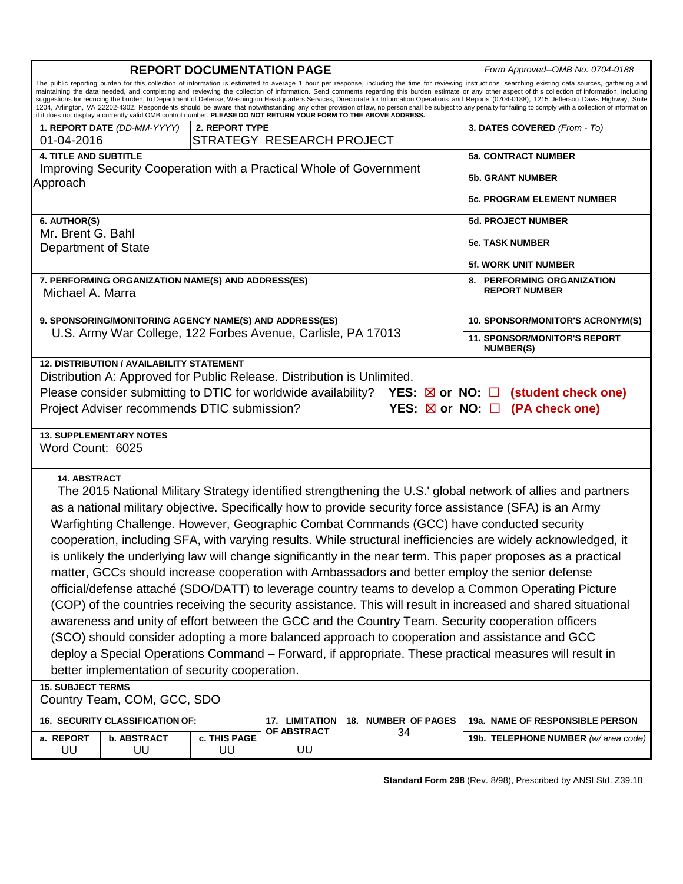| The public reporting burden for this collection of information is estimated to average 1 hour per response, including the time for reviewing instructions, searching existing data sources, gathering and<br>maintaining the data needed, and completing and reviewing the collection of information. Send comments regarding this burden estimate or any other aspect of this collection of information, including<br>suggestions for reducing the burden, to Department of Defense, Washington Headquarters Services, Directorate for Information Operations and Reports (0704-0188), 1215 Jefferson Davis Highway, Suite<br>1204, Arlington, VA 22202-4302. Respondents should be aware that notwithstanding any other provision of law, no person shall be subject to any penalty for failing to comply with a collection of information<br>if it does not display a currently valid OMB control number. PLEASE DO NOT RETURN YOUR FORM TO THE ABOVE ADDRESS.<br>3. DATES COVERED (From - To)<br>1. REPORT DATE (DD-MM-YYYY)<br>2. REPORT TYPE<br>STRATEGY RESEARCH PROJECT<br>01-04-2016<br><b>4. TITLE AND SUBTITLE</b><br><b>5a. CONTRACT NUMBER</b><br>Improving Security Cooperation with a Practical Whole of Government<br><b>5b. GRANT NUMBER</b><br>Approach<br><b>5c. PROGRAM ELEMENT NUMBER</b><br>6. AUTHOR(S)<br><b>5d. PROJECT NUMBER</b><br>Mr. Brent G. Bahl<br><b>5e. TASK NUMBER</b><br>Department of State<br><b>5f. WORK UNIT NUMBER</b><br>7. PERFORMING ORGANIZATION NAME(S) AND ADDRESS(ES)<br>8. PERFORMING ORGANIZATION<br><b>REPORT NUMBER</b><br>Michael A. Marra<br>9. SPONSORING/MONITORING AGENCY NAME(S) AND ADDRESS(ES)<br>10. SPONSOR/MONITOR'S ACRONYM(S)<br>U.S. Army War College, 122 Forbes Avenue, Carlisle, PA 17013<br><b>11. SPONSOR/MONITOR'S REPORT</b><br><b>NUMBER(S)</b><br><b>12. DISTRIBUTION / AVAILABILITY STATEMENT</b><br>Distribution A: Approved for Public Release. Distribution is Unlimited.<br>Please consider submitting to DTIC for worldwide availability? YES: $\boxtimes$ or NO: $\Box$ (student check one)<br>Project Adviser recommends DTIC submission?<br>YES: $\boxtimes$ or NO: $\Box$ (PA check one)<br><b>13. SUPPLEMENTARY NOTES</b><br>Word Count: 6025<br><b>14. ABSTRACT</b><br>The 2015 National Military Strategy identified strengthening the U.S.' global network of allies and partners<br>as a national military objective. Specifically how to provide security force assistance (SFA) is an Army<br>Warfighting Challenge. However, Geographic Combat Commands (GCC) have conducted security<br>cooperation, including SFA, with varying results. While structural inefficiencies are widely acknowledged, it<br>is unlikely the underlying law will change significantly in the near term. This paper proposes as a practical<br>matter, GCCs should increase cooperation with Ambassadors and better employ the senior defense<br>official/defense attaché (SDO/DATT) to leverage country teams to develop a Common Operating Picture<br>(COP) of the countries receiving the security assistance. This will result in increased and shared situational<br>awareness and unity of effort between the GCC and the Country Team. Security cooperation officers<br>(SCO) should consider adopting a more balanced approach to cooperation and assistance and GCC<br>deploy a Special Operations Command – Forward, if appropriate. These practical measures will result in<br>better implementation of security cooperation.<br><b>15. SUBJECT TERMS</b><br>Country Team, COM, GCC, SDO<br>16. SECURITY CLASSIFICATION OF:<br>18. NUMBER OF PAGES<br>19a. NAME OF RESPONSIBLE PERSON<br><b>17. LIMITATION</b><br><b>OF ABSTRACT</b><br>34<br>c. THIS PAGE<br>a. REPORT<br><b>b. ABSTRACT</b><br>19b. TELEPHONE NUMBER (w/area code)<br>UU<br>UU<br>UU<br>UU | <b>REPORT DOCUMENTATION PAGE</b> |  |  | Form Approved--OMB No. 0704-0188 |  |
|---------------------------------------------------------------------------------------------------------------------------------------------------------------------------------------------------------------------------------------------------------------------------------------------------------------------------------------------------------------------------------------------------------------------------------------------------------------------------------------------------------------------------------------------------------------------------------------------------------------------------------------------------------------------------------------------------------------------------------------------------------------------------------------------------------------------------------------------------------------------------------------------------------------------------------------------------------------------------------------------------------------------------------------------------------------------------------------------------------------------------------------------------------------------------------------------------------------------------------------------------------------------------------------------------------------------------------------------------------------------------------------------------------------------------------------------------------------------------------------------------------------------------------------------------------------------------------------------------------------------------------------------------------------------------------------------------------------------------------------------------------------------------------------------------------------------------------------------------------------------------------------------------------------------------------------------------------------------------------------------------------------------------------------------------------------------------------------------------------------------------------------------------------------------------------------------------------------------------------------------------------------------------------------------------------------------------------------------------------------------------------------------------------------------------------------------------------------------------------------------------------------------------------------------------------------------------------------------------------------------------------------------------------------------------------------------------------------------------------------------------------------------------------------------------------------------------------------------------------------------------------------------------------------------------------------------------------------------------------------------------------------------------------------------------------------------------------------------------------------------------------------------------------------------------------------------------------------------------------------------------------------------------------------------------------------------------------------------------------------------------------------------------------------------------------------------------------------------------------------------------------------------------------------------------------------------------------------------------------------------------------------------------------------------------------------------------------------------------------------------------------------------------------------------------------------------------------------------------|----------------------------------|--|--|----------------------------------|--|
|                                                                                                                                                                                                                                                                                                                                                                                                                                                                                                                                                                                                                                                                                                                                                                                                                                                                                                                                                                                                                                                                                                                                                                                                                                                                                                                                                                                                                                                                                                                                                                                                                                                                                                                                                                                                                                                                                                                                                                                                                                                                                                                                                                                                                                                                                                                                                                                                                                                                                                                                                                                                                                                                                                                                                                                                                                                                                                                                                                                                                                                                                                                                                                                                                                                                                                                                                                                                                                                                                                                                                                                                                                                                                                                                                                                                                                                   |                                  |  |  |                                  |  |
|                                                                                                                                                                                                                                                                                                                                                                                                                                                                                                                                                                                                                                                                                                                                                                                                                                                                                                                                                                                                                                                                                                                                                                                                                                                                                                                                                                                                                                                                                                                                                                                                                                                                                                                                                                                                                                                                                                                                                                                                                                                                                                                                                                                                                                                                                                                                                                                                                                                                                                                                                                                                                                                                                                                                                                                                                                                                                                                                                                                                                                                                                                                                                                                                                                                                                                                                                                                                                                                                                                                                                                                                                                                                                                                                                                                                                                                   |                                  |  |  |                                  |  |
|                                                                                                                                                                                                                                                                                                                                                                                                                                                                                                                                                                                                                                                                                                                                                                                                                                                                                                                                                                                                                                                                                                                                                                                                                                                                                                                                                                                                                                                                                                                                                                                                                                                                                                                                                                                                                                                                                                                                                                                                                                                                                                                                                                                                                                                                                                                                                                                                                                                                                                                                                                                                                                                                                                                                                                                                                                                                                                                                                                                                                                                                                                                                                                                                                                                                                                                                                                                                                                                                                                                                                                                                                                                                                                                                                                                                                                                   |                                  |  |  |                                  |  |
|                                                                                                                                                                                                                                                                                                                                                                                                                                                                                                                                                                                                                                                                                                                                                                                                                                                                                                                                                                                                                                                                                                                                                                                                                                                                                                                                                                                                                                                                                                                                                                                                                                                                                                                                                                                                                                                                                                                                                                                                                                                                                                                                                                                                                                                                                                                                                                                                                                                                                                                                                                                                                                                                                                                                                                                                                                                                                                                                                                                                                                                                                                                                                                                                                                                                                                                                                                                                                                                                                                                                                                                                                                                                                                                                                                                                                                                   |                                  |  |  |                                  |  |
|                                                                                                                                                                                                                                                                                                                                                                                                                                                                                                                                                                                                                                                                                                                                                                                                                                                                                                                                                                                                                                                                                                                                                                                                                                                                                                                                                                                                                                                                                                                                                                                                                                                                                                                                                                                                                                                                                                                                                                                                                                                                                                                                                                                                                                                                                                                                                                                                                                                                                                                                                                                                                                                                                                                                                                                                                                                                                                                                                                                                                                                                                                                                                                                                                                                                                                                                                                                                                                                                                                                                                                                                                                                                                                                                                                                                                                                   |                                  |  |  |                                  |  |
|                                                                                                                                                                                                                                                                                                                                                                                                                                                                                                                                                                                                                                                                                                                                                                                                                                                                                                                                                                                                                                                                                                                                                                                                                                                                                                                                                                                                                                                                                                                                                                                                                                                                                                                                                                                                                                                                                                                                                                                                                                                                                                                                                                                                                                                                                                                                                                                                                                                                                                                                                                                                                                                                                                                                                                                                                                                                                                                                                                                                                                                                                                                                                                                                                                                                                                                                                                                                                                                                                                                                                                                                                                                                                                                                                                                                                                                   |                                  |  |  |                                  |  |
|                                                                                                                                                                                                                                                                                                                                                                                                                                                                                                                                                                                                                                                                                                                                                                                                                                                                                                                                                                                                                                                                                                                                                                                                                                                                                                                                                                                                                                                                                                                                                                                                                                                                                                                                                                                                                                                                                                                                                                                                                                                                                                                                                                                                                                                                                                                                                                                                                                                                                                                                                                                                                                                                                                                                                                                                                                                                                                                                                                                                                                                                                                                                                                                                                                                                                                                                                                                                                                                                                                                                                                                                                                                                                                                                                                                                                                                   |                                  |  |  |                                  |  |
|                                                                                                                                                                                                                                                                                                                                                                                                                                                                                                                                                                                                                                                                                                                                                                                                                                                                                                                                                                                                                                                                                                                                                                                                                                                                                                                                                                                                                                                                                                                                                                                                                                                                                                                                                                                                                                                                                                                                                                                                                                                                                                                                                                                                                                                                                                                                                                                                                                                                                                                                                                                                                                                                                                                                                                                                                                                                                                                                                                                                                                                                                                                                                                                                                                                                                                                                                                                                                                                                                                                                                                                                                                                                                                                                                                                                                                                   |                                  |  |  |                                  |  |
|                                                                                                                                                                                                                                                                                                                                                                                                                                                                                                                                                                                                                                                                                                                                                                                                                                                                                                                                                                                                                                                                                                                                                                                                                                                                                                                                                                                                                                                                                                                                                                                                                                                                                                                                                                                                                                                                                                                                                                                                                                                                                                                                                                                                                                                                                                                                                                                                                                                                                                                                                                                                                                                                                                                                                                                                                                                                                                                                                                                                                                                                                                                                                                                                                                                                                                                                                                                                                                                                                                                                                                                                                                                                                                                                                                                                                                                   |                                  |  |  |                                  |  |
|                                                                                                                                                                                                                                                                                                                                                                                                                                                                                                                                                                                                                                                                                                                                                                                                                                                                                                                                                                                                                                                                                                                                                                                                                                                                                                                                                                                                                                                                                                                                                                                                                                                                                                                                                                                                                                                                                                                                                                                                                                                                                                                                                                                                                                                                                                                                                                                                                                                                                                                                                                                                                                                                                                                                                                                                                                                                                                                                                                                                                                                                                                                                                                                                                                                                                                                                                                                                                                                                                                                                                                                                                                                                                                                                                                                                                                                   |                                  |  |  |                                  |  |
|                                                                                                                                                                                                                                                                                                                                                                                                                                                                                                                                                                                                                                                                                                                                                                                                                                                                                                                                                                                                                                                                                                                                                                                                                                                                                                                                                                                                                                                                                                                                                                                                                                                                                                                                                                                                                                                                                                                                                                                                                                                                                                                                                                                                                                                                                                                                                                                                                                                                                                                                                                                                                                                                                                                                                                                                                                                                                                                                                                                                                                                                                                                                                                                                                                                                                                                                                                                                                                                                                                                                                                                                                                                                                                                                                                                                                                                   |                                  |  |  |                                  |  |
|                                                                                                                                                                                                                                                                                                                                                                                                                                                                                                                                                                                                                                                                                                                                                                                                                                                                                                                                                                                                                                                                                                                                                                                                                                                                                                                                                                                                                                                                                                                                                                                                                                                                                                                                                                                                                                                                                                                                                                                                                                                                                                                                                                                                                                                                                                                                                                                                                                                                                                                                                                                                                                                                                                                                                                                                                                                                                                                                                                                                                                                                                                                                                                                                                                                                                                                                                                                                                                                                                                                                                                                                                                                                                                                                                                                                                                                   |                                  |  |  |                                  |  |
|                                                                                                                                                                                                                                                                                                                                                                                                                                                                                                                                                                                                                                                                                                                                                                                                                                                                                                                                                                                                                                                                                                                                                                                                                                                                                                                                                                                                                                                                                                                                                                                                                                                                                                                                                                                                                                                                                                                                                                                                                                                                                                                                                                                                                                                                                                                                                                                                                                                                                                                                                                                                                                                                                                                                                                                                                                                                                                                                                                                                                                                                                                                                                                                                                                                                                                                                                                                                                                                                                                                                                                                                                                                                                                                                                                                                                                                   |                                  |  |  |                                  |  |
|                                                                                                                                                                                                                                                                                                                                                                                                                                                                                                                                                                                                                                                                                                                                                                                                                                                                                                                                                                                                                                                                                                                                                                                                                                                                                                                                                                                                                                                                                                                                                                                                                                                                                                                                                                                                                                                                                                                                                                                                                                                                                                                                                                                                                                                                                                                                                                                                                                                                                                                                                                                                                                                                                                                                                                                                                                                                                                                                                                                                                                                                                                                                                                                                                                                                                                                                                                                                                                                                                                                                                                                                                                                                                                                                                                                                                                                   |                                  |  |  |                                  |  |
|                                                                                                                                                                                                                                                                                                                                                                                                                                                                                                                                                                                                                                                                                                                                                                                                                                                                                                                                                                                                                                                                                                                                                                                                                                                                                                                                                                                                                                                                                                                                                                                                                                                                                                                                                                                                                                                                                                                                                                                                                                                                                                                                                                                                                                                                                                                                                                                                                                                                                                                                                                                                                                                                                                                                                                                                                                                                                                                                                                                                                                                                                                                                                                                                                                                                                                                                                                                                                                                                                                                                                                                                                                                                                                                                                                                                                                                   |                                  |  |  |                                  |  |
|                                                                                                                                                                                                                                                                                                                                                                                                                                                                                                                                                                                                                                                                                                                                                                                                                                                                                                                                                                                                                                                                                                                                                                                                                                                                                                                                                                                                                                                                                                                                                                                                                                                                                                                                                                                                                                                                                                                                                                                                                                                                                                                                                                                                                                                                                                                                                                                                                                                                                                                                                                                                                                                                                                                                                                                                                                                                                                                                                                                                                                                                                                                                                                                                                                                                                                                                                                                                                                                                                                                                                                                                                                                                                                                                                                                                                                                   |                                  |  |  |                                  |  |

**Standard Form 298** (Rev. 8/98), Prescribed by ANSI Std. Z39.18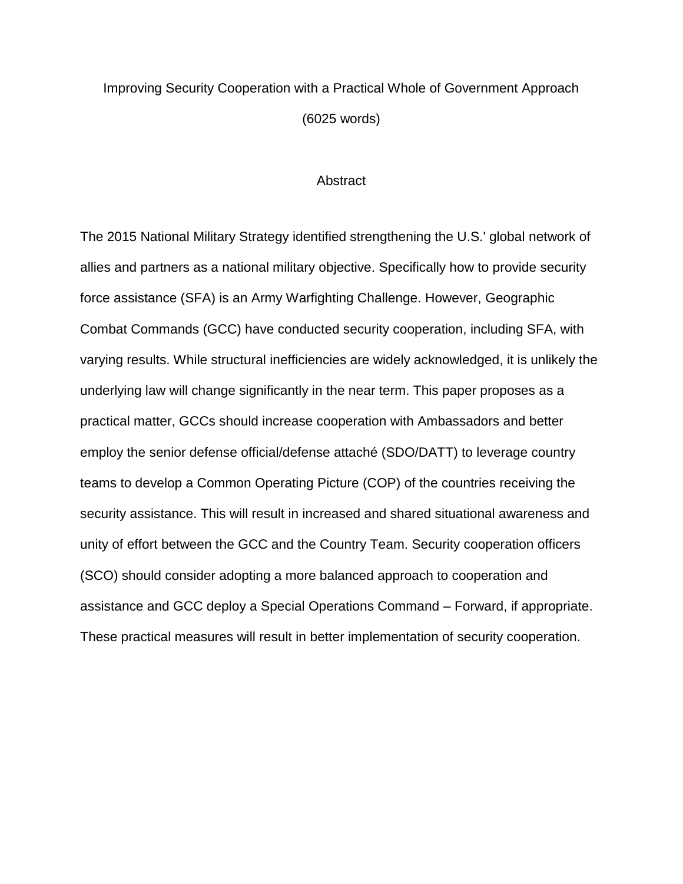## Improving Security Cooperation with a Practical Whole of Government Approach (6025 words)

### **Abstract**

The 2015 National Military Strategy identified strengthening the U.S.' global network of allies and partners as a national military objective. Specifically how to provide security force assistance (SFA) is an Army Warfighting Challenge. However, Geographic Combat Commands (GCC) have conducted security cooperation, including SFA, with varying results. While structural inefficiencies are widely acknowledged, it is unlikely the underlying law will change significantly in the near term. This paper proposes as a practical matter, GCCs should increase cooperation with Ambassadors and better employ the senior defense official/defense attaché (SDO/DATT) to leverage country teams to develop a Common Operating Picture (COP) of the countries receiving the security assistance. This will result in increased and shared situational awareness and unity of effort between the GCC and the Country Team. Security cooperation officers (SCO) should consider adopting a more balanced approach to cooperation and assistance and GCC deploy a Special Operations Command – Forward, if appropriate. These practical measures will result in better implementation of security cooperation.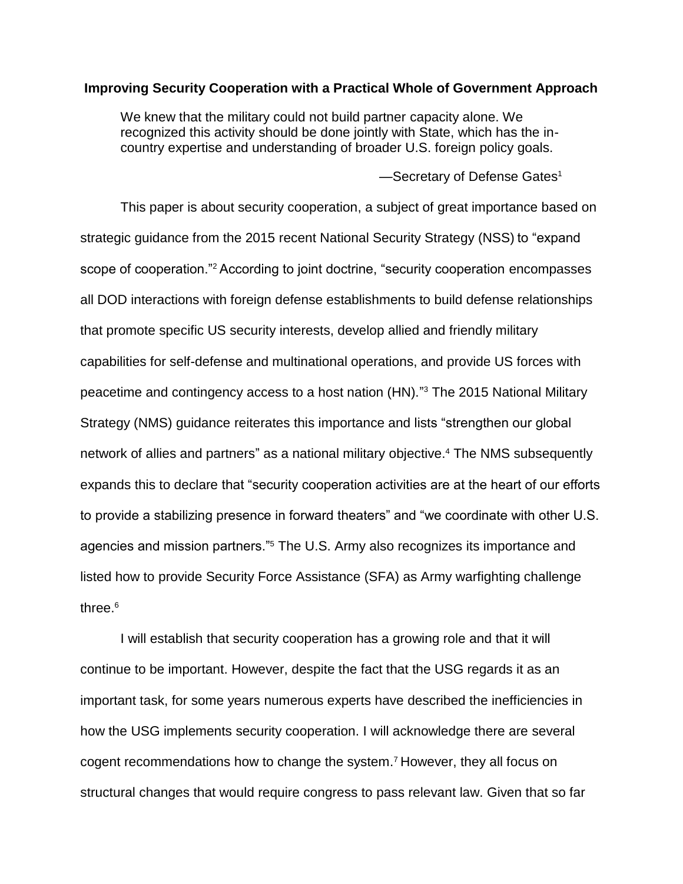### **Improving Security Cooperation with a Practical Whole of Government Approach**

We knew that the military could not build partner capacity alone. We recognized this activity should be done jointly with State, which has the incountry expertise and understanding of broader U.S. foreign policy goals.

-Secretary of Defense Gates<sup>1</sup>

This paper is about security cooperation, a subject of great importance based on strategic guidance from the 2015 recent National Security Strategy (NSS) to "expand scope of cooperation."<sup>2</sup> According to joint doctrine, "security cooperation encompasses all DOD interactions with foreign defense establishments to build defense relationships that promote specific US security interests, develop allied and friendly military capabilities for self-defense and multinational operations, and provide US forces with peacetime and contingency access to a host nation (HN)." <sup>3</sup> The 2015 National Military Strategy (NMS) guidance reiterates this importance and lists "strengthen our global network of allies and partners" as a national military objective. <sup>4</sup> The NMS subsequently expands this to declare that "security cooperation activities are at the heart of our efforts to provide a stabilizing presence in forward theaters" and "we coordinate with other U.S. agencies and mission partners."<sup>5</sup> The U.S. Army also recognizes its importance and listed how to provide Security Force Assistance (SFA) as Army warfighting challenge three.<sup>6</sup>

I will establish that security cooperation has a growing role and that it will continue to be important. However, despite the fact that the USG regards it as an important task, for some years numerous experts have described the inefficiencies in how the USG implements security cooperation. I will acknowledge there are several cogent recommendations how to change the system. <sup>7</sup> However, they all focus on structural changes that would require congress to pass relevant law. Given that so far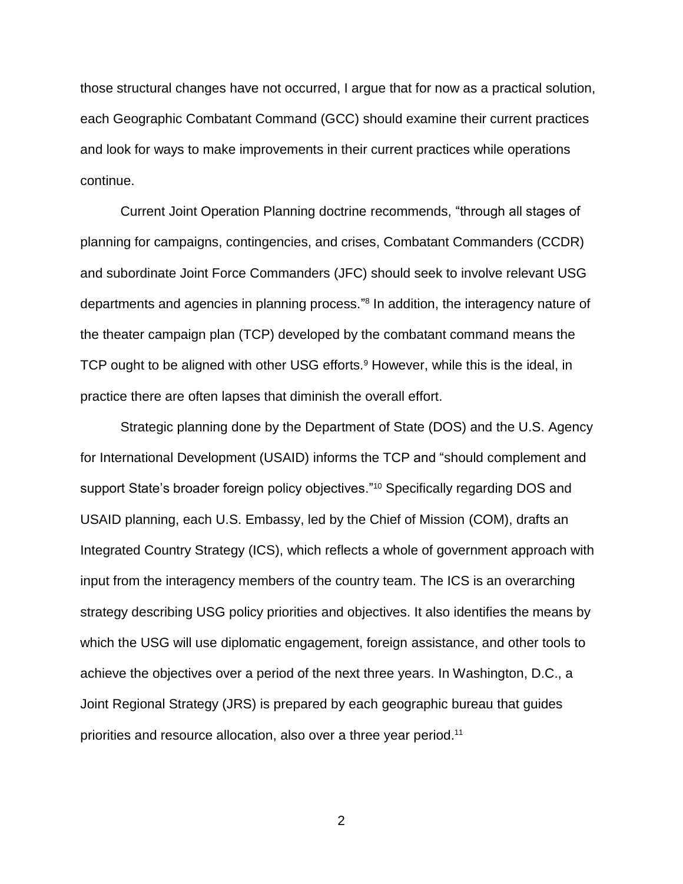those structural changes have not occurred, I argue that for now as a practical solution, each Geographic Combatant Command (GCC) should examine their current practices and look for ways to make improvements in their current practices while operations continue.

Current Joint Operation Planning doctrine recommends, "through all stages of planning for campaigns, contingencies, and crises, Combatant Commanders (CCDR) and subordinate Joint Force Commanders (JFC) should seek to involve relevant USG departments and agencies in planning process." 8 In addition, the interagency nature of the theater campaign plan (TCP) developed by the combatant command means the TCP ought to be aligned with other USG efforts.<sup>9</sup> However, while this is the ideal, in practice there are often lapses that diminish the overall effort.

Strategic planning done by the Department of State (DOS) and the U.S. Agency for International Development (USAID) informs the TCP and "should complement and support State's broader foreign policy objectives." <sup>10</sup> Specifically regarding DOS and USAID planning, each U.S. Embassy, led by the Chief of Mission (COM), drafts an Integrated Country Strategy (ICS), which reflects a whole of government approach with input from the interagency members of the country team. The ICS is an overarching strategy describing USG policy priorities and objectives. It also identifies the means by which the USG will use diplomatic engagement, foreign assistance, and other tools to achieve the objectives over a period of the next three years. In Washington, D.C., a Joint Regional Strategy (JRS) is prepared by each geographic bureau that guides priorities and resource allocation, also over a three year period. 11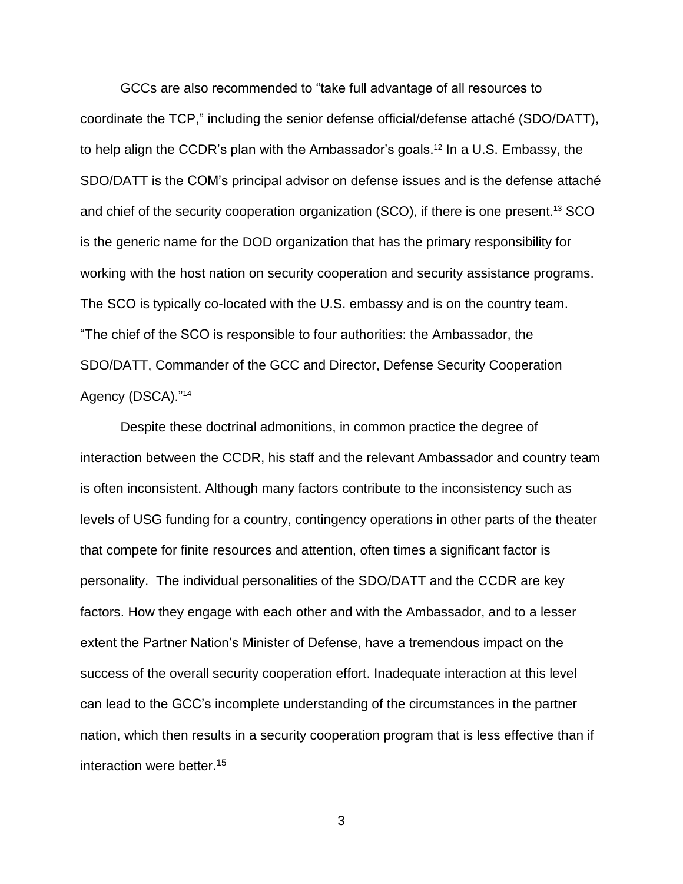GCCs are also recommended to "take full advantage of all resources to coordinate the TCP," including the senior defense official/defense attaché (SDO/DATT), to help align the CCDR's plan with the Ambassador's goals.<sup>12</sup> In a U.S. Embassy, the SDO/DATT is the COM's principal advisor on defense issues and is the defense attaché and chief of the security cooperation organization (SCO), if there is one present.<sup>13</sup> SCO is the generic name for the DOD organization that has the primary responsibility for working with the host nation on security cooperation and security assistance programs. The SCO is typically co-located with the U.S. embassy and is on the country team. "The chief of the SCO is responsible to four authorities: the Ambassador, the SDO/DATT, Commander of the GCC and Director, Defense Security Cooperation Agency (DSCA)."<sup>14</sup>

Despite these doctrinal admonitions, in common practice the degree of interaction between the CCDR, his staff and the relevant Ambassador and country team is often inconsistent. Although many factors contribute to the inconsistency such as levels of USG funding for a country, contingency operations in other parts of the theater that compete for finite resources and attention, often times a significant factor is personality. The individual personalities of the SDO/DATT and the CCDR are key factors. How they engage with each other and with the Ambassador, and to a lesser extent the Partner Nation's Minister of Defense, have a tremendous impact on the success of the overall security cooperation effort. Inadequate interaction at this level can lead to the GCC's incomplete understanding of the circumstances in the partner nation, which then results in a security cooperation program that is less effective than if interaction were better.15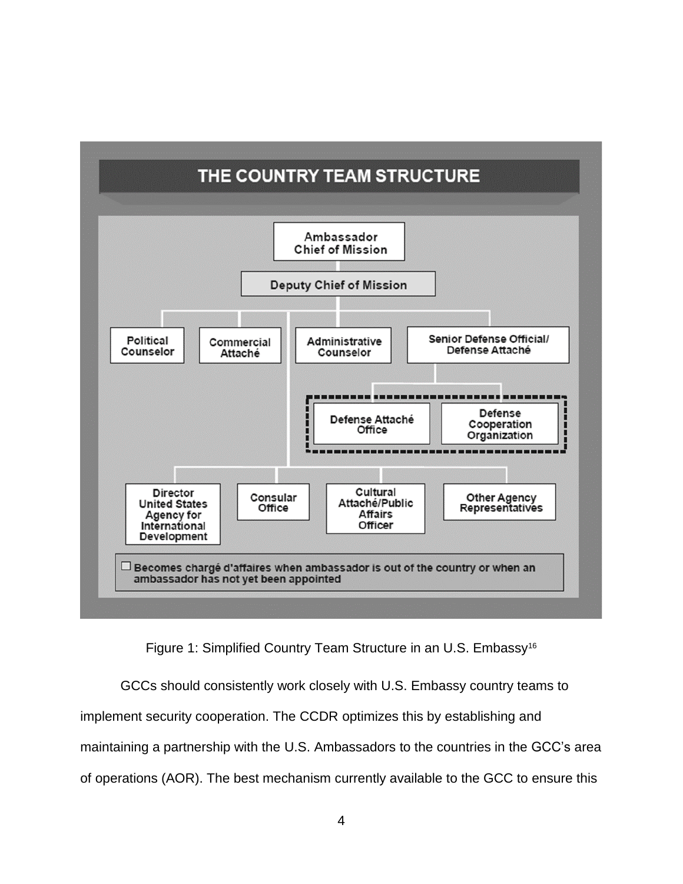

Figure 1: Simplified Country Team Structure in an U.S. Embassy<sup>16</sup>

GCCs should consistently work closely with U.S. Embassy country teams to implement security cooperation. The CCDR optimizes this by establishing and maintaining a partnership with the U.S. Ambassadors to the countries in the GCC's area of operations (AOR). The best mechanism currently available to the GCC to ensure this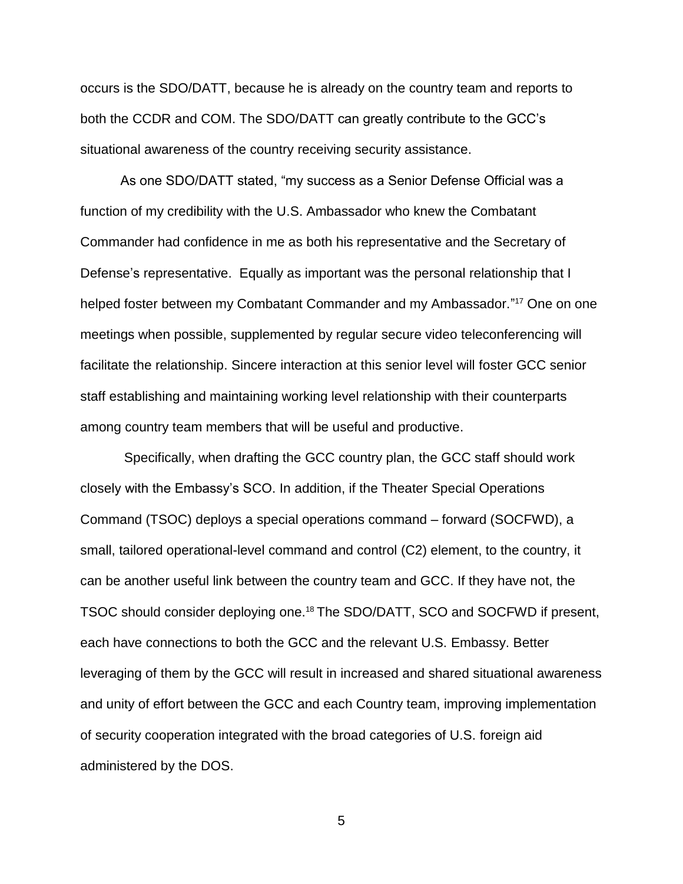occurs is the SDO/DATT, because he is already on the country team and reports to both the CCDR and COM. The SDO/DATT can greatly contribute to the GCC's situational awareness of the country receiving security assistance.

As one SDO/DATT stated, "my success as a Senior Defense Official was a function of my credibility with the U.S. Ambassador who knew the Combatant Commander had confidence in me as both his representative and the Secretary of Defense's representative. Equally as important was the personal relationship that I helped foster between my Combatant Commander and my Ambassador." <sup>17</sup> One on one meetings when possible, supplemented by regular secure video teleconferencing will facilitate the relationship. Sincere interaction at this senior level will foster GCC senior staff establishing and maintaining working level relationship with their counterparts among country team members that will be useful and productive.

Specifically, when drafting the GCC country plan, the GCC staff should work closely with the Embassy's SCO. In addition, if the Theater Special Operations Command (TSOC) deploys a special operations command – forward (SOCFWD), a small, tailored operational-level command and control (C2) element, to the country, it can be another useful link between the country team and GCC. If they have not, the TSOC should consider deploying one.<sup>18</sup> The SDO/DATT, SCO and SOCFWD if present, each have connections to both the GCC and the relevant U.S. Embassy. Better leveraging of them by the GCC will result in increased and shared situational awareness and unity of effort between the GCC and each Country team, improving implementation of security cooperation integrated with the broad categories of U.S. foreign aid administered by the DOS.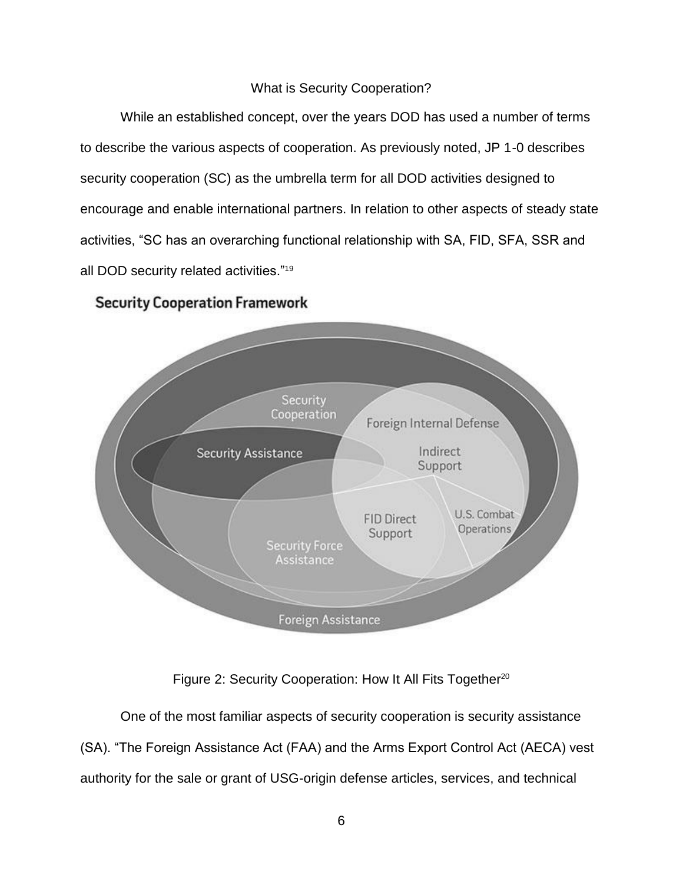### What is Security Cooperation?

While an established concept, over the years DOD has used a number of terms to describe the various aspects of cooperation. As previously noted, JP 1-0 describes security cooperation (SC) as the umbrella term for all DOD activities designed to encourage and enable international partners. In relation to other aspects of steady state activities, "SC has an overarching functional relationship with SA, FID, SFA, SSR and all DOD security related activities."<sup>19</sup>

### **Security Cooperation Framework**



### Figure 2: Security Cooperation: How It All Fits Together<sup>20</sup>

One of the most familiar aspects of security cooperation is security assistance (SA). "The Foreign Assistance Act (FAA) and the Arms Export Control Act (AECA) vest authority for the sale or grant of USG-origin defense articles, services, and technical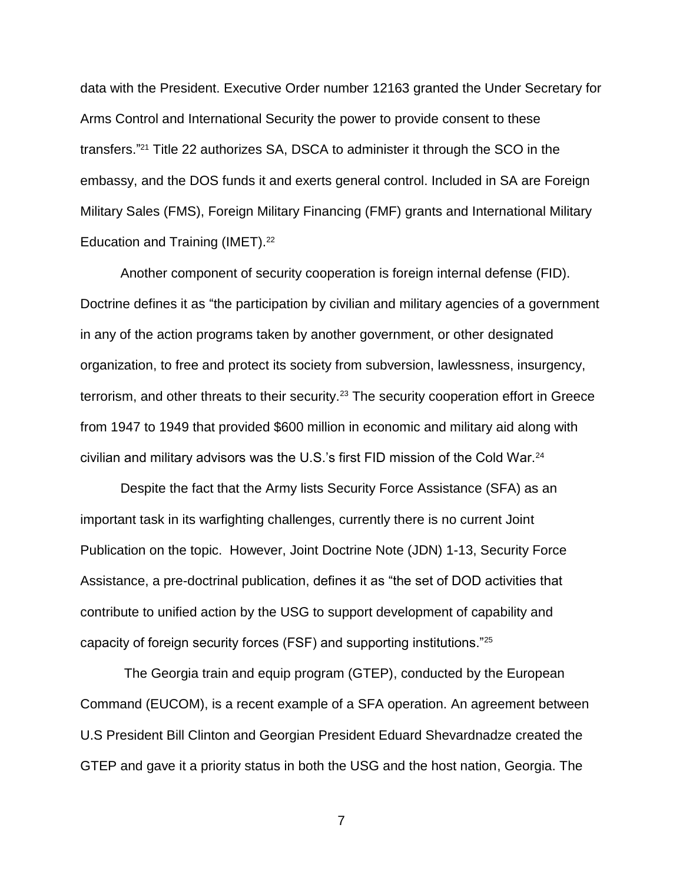data with the President. Executive Order number 12163 granted the Under Secretary for Arms Control and International Security the power to provide consent to these transfers." <sup>21</sup> Title 22 authorizes SA, DSCA to administer it through the SCO in the embassy, and the DOS funds it and exerts general control. Included in SA are Foreign Military Sales (FMS), Foreign Military Financing (FMF) grants and International Military Education and Training (IMET).<sup>22</sup>

Another component of security cooperation is foreign internal defense (FID). Doctrine defines it as "the participation by civilian and military agencies of a government in any of the action programs taken by another government, or other designated organization, to free and protect its society from subversion, lawlessness, insurgency, terrorism, and other threats to their security.<sup>23</sup> The security cooperation effort in Greece from 1947 to 1949 that provided \$600 million in economic and military aid along with civilian and military advisors was the U.S.'s first FID mission of the Cold War.<sup>24</sup>

Despite the fact that the Army lists Security Force Assistance (SFA) as an important task in its warfighting challenges, currently there is no current Joint Publication on the topic. However, Joint Doctrine Note (JDN) 1-13, Security Force Assistance, a pre-doctrinal publication, defines it as "the set of DOD activities that contribute to unified action by the USG to support development of capability and capacity of foreign security forces (FSF) and supporting institutions."<sup>25</sup>

The Georgia train and equip program (GTEP), conducted by the European Command (EUCOM), is a recent example of a SFA operation. An agreement between U.S President Bill Clinton and Georgian President Eduard Shevardnadze created the GTEP and gave it a priority status in both the USG and the host nation, Georgia. The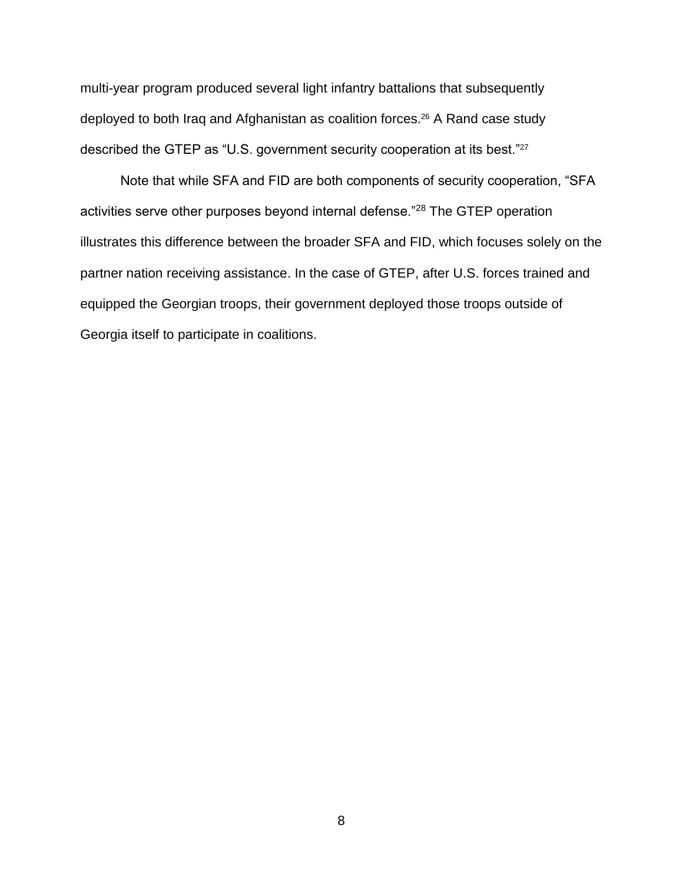multi-year program produced several light infantry battalions that subsequently deployed to both Iraq and Afghanistan as coalition forces. <sup>26</sup> A Rand case study described the GTEP as "U.S. government security cooperation at its best."<sup>27</sup>

Note that while SFA and FID are both components of security cooperation, "SFA activities serve other purposes beyond internal defense."<sup>28</sup> The GTEP operation illustrates this difference between the broader SFA and FID, which focuses solely on the partner nation receiving assistance. In the case of GTEP, after U.S. forces trained and equipped the Georgian troops, their government deployed those troops outside of Georgia itself to participate in coalitions.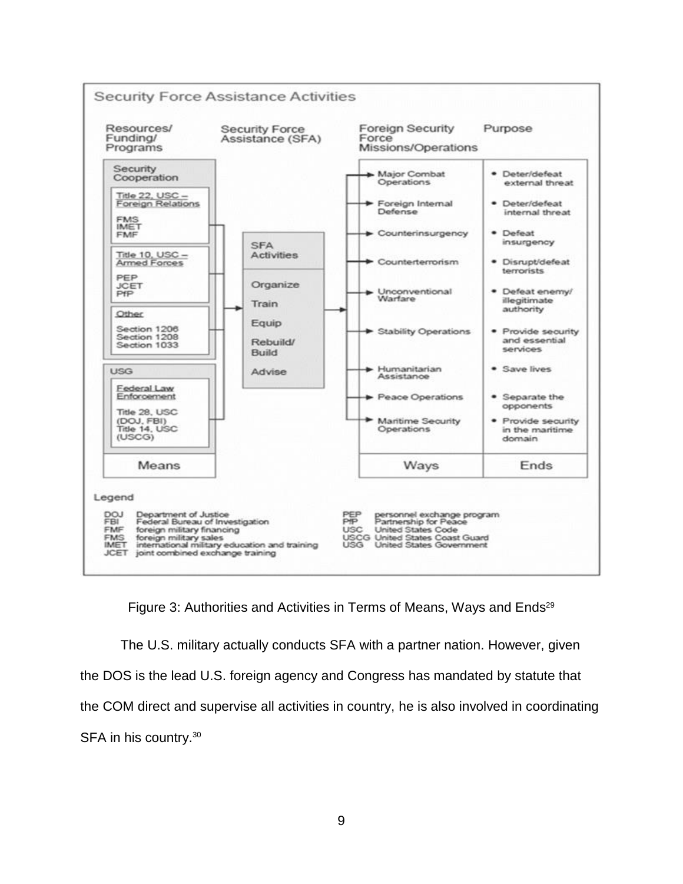

Figure 3: Authorities and Activities in Terms of Means, Ways and Ends<sup>29</sup>

The U.S. military actually conducts SFA with a partner nation. However, given the DOS is the lead U.S. foreign agency and Congress has mandated by statute that the COM direct and supervise all activities in country, he is also involved in coordinating SFA in his country.<sup>30</sup>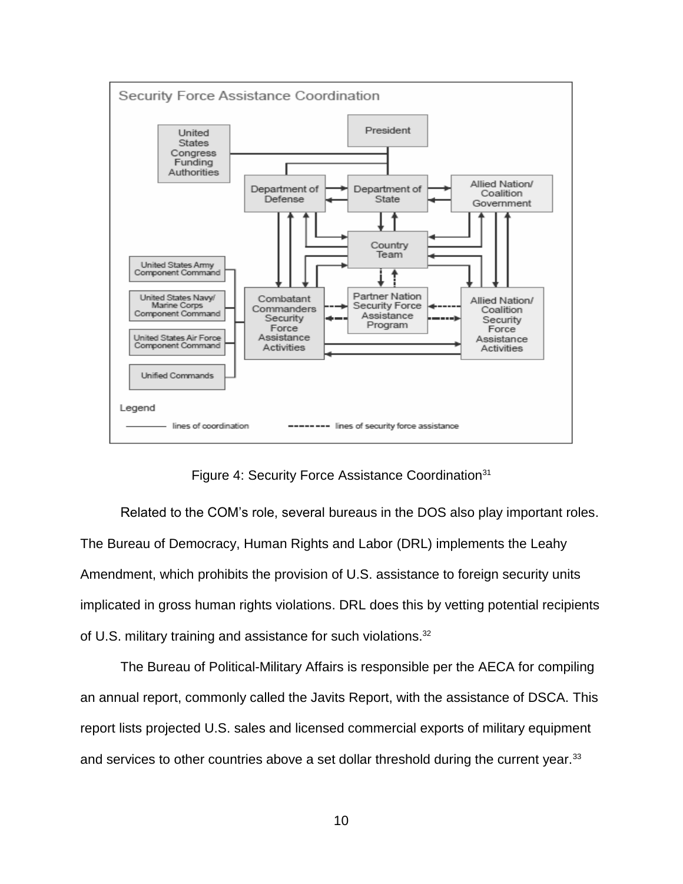

Figure 4: Security Force Assistance Coordination<sup>31</sup>

Related to the COM's role, several bureaus in the DOS also play important roles. The Bureau of Democracy, Human Rights and Labor (DRL) implements the Leahy Amendment, which prohibits the provision of U.S. assistance to foreign security units implicated in gross human rights violations. DRL does this by vetting potential recipients of U.S. military training and assistance for such violations.<sup>32</sup>

The Bureau of Political-Military Affairs is responsible per the AECA for compiling an annual report, commonly called the Javits Report, with the assistance of DSCA. This report lists projected U.S. sales and licensed commercial exports of military equipment and services to other countries above a set dollar threshold during the current year.<sup>33</sup>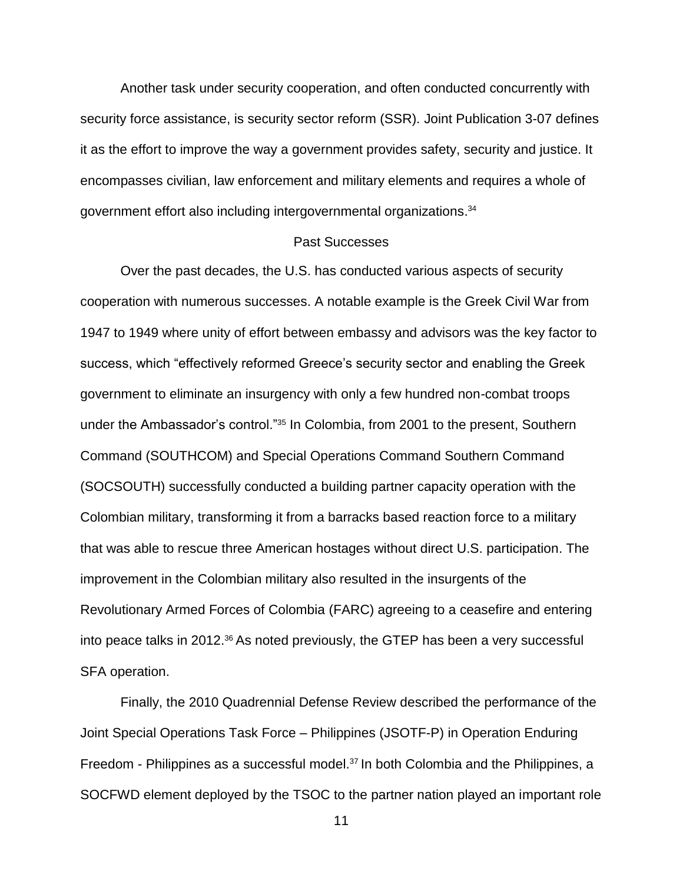Another task under security cooperation, and often conducted concurrently with security force assistance, is security sector reform (SSR). Joint Publication 3-07 defines it as the effort to improve the way a government provides safety, security and justice. It encompasses civilian, law enforcement and military elements and requires a whole of government effort also including intergovernmental organizations.<sup>34</sup>

### Past Successes

Over the past decades, the U.S. has conducted various aspects of security cooperation with numerous successes. A notable example is the Greek Civil War from 1947 to 1949 where unity of effort between embassy and advisors was the key factor to success, which "effectively reformed Greece's security sector and enabling the Greek government to eliminate an insurgency with only a few hundred non-combat troops under the Ambassador's control."<sup>35</sup> In Colombia, from 2001 to the present, Southern Command (SOUTHCOM) and Special Operations Command Southern Command (SOCSOUTH) successfully conducted a building partner capacity operation with the Colombian military, transforming it from a barracks based reaction force to a military that was able to rescue three American hostages without direct U.S. participation. The improvement in the Colombian military also resulted in the insurgents of the Revolutionary Armed Forces of Colombia (FARC) agreeing to a ceasefire and entering into peace talks in 2012.<sup>36</sup> As noted previously, the GTEP has been a very successful SFA operation.

Finally, the 2010 Quadrennial Defense Review described the performance of the Joint Special Operations Task Force – Philippines (JSOTF-P) in Operation Enduring Freedom - Philippines as a successful model.<sup>37</sup> In both Colombia and the Philippines, a SOCFWD element deployed by the TSOC to the partner nation played an important role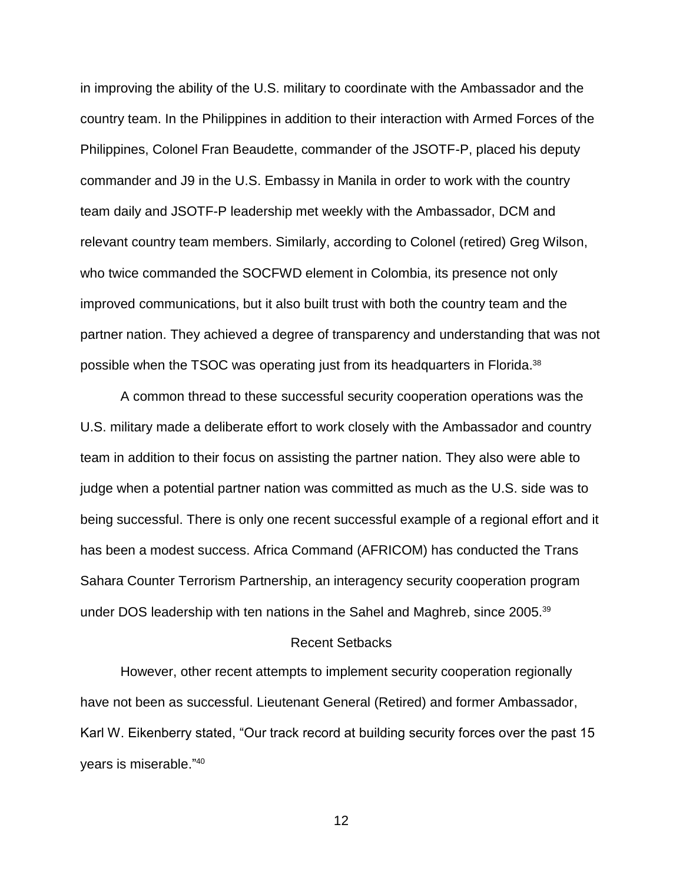in improving the ability of the U.S. military to coordinate with the Ambassador and the country team. In the Philippines in addition to their interaction with Armed Forces of the Philippines, Colonel Fran Beaudette, commander of the JSOTF-P, placed his deputy commander and J9 in the U.S. Embassy in Manila in order to work with the country team daily and JSOTF-P leadership met weekly with the Ambassador, DCM and relevant country team members. Similarly, according to Colonel (retired) Greg Wilson, who twice commanded the SOCFWD element in Colombia, its presence not only improved communications, but it also built trust with both the country team and the partner nation. They achieved a degree of transparency and understanding that was not possible when the TSOC was operating just from its headquarters in Florida.<sup>38</sup>

A common thread to these successful security cooperation operations was the U.S. military made a deliberate effort to work closely with the Ambassador and country team in addition to their focus on assisting the partner nation. They also were able to judge when a potential partner nation was committed as much as the U.S. side was to being successful. There is only one recent successful example of a regional effort and it has been a modest success. Africa Command (AFRICOM) has conducted the Trans Sahara Counter Terrorism Partnership, an interagency security cooperation program under DOS leadership with ten nations in the Sahel and Maghreb, since 2005.<sup>39</sup>

### Recent Setbacks

However, other recent attempts to implement security cooperation regionally have not been as successful. Lieutenant General (Retired) and former Ambassador, Karl W. Eikenberry stated, "Our track record at building security forces over the past 15 years is miserable."40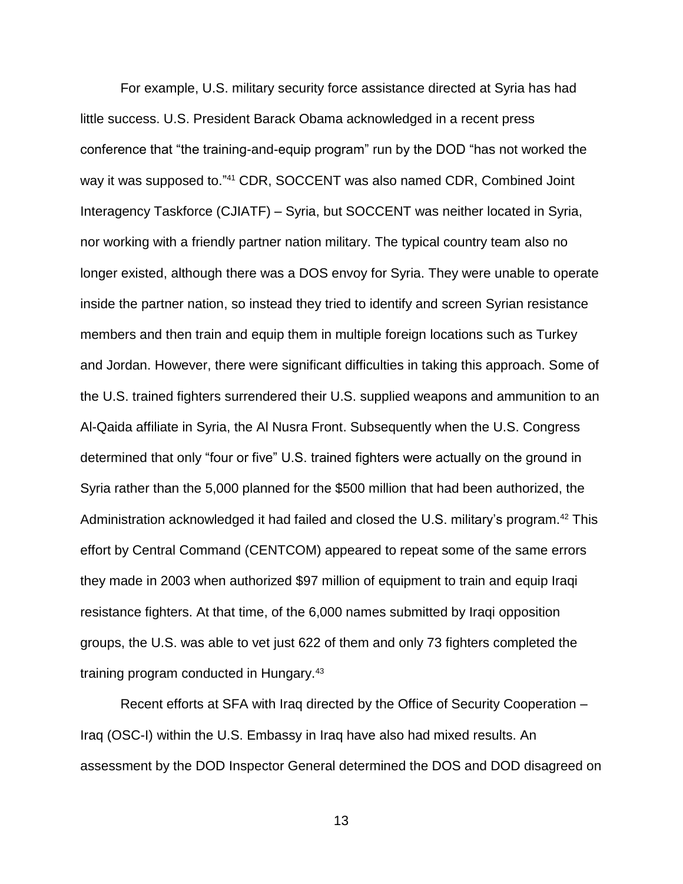For example, U.S. military security force assistance directed at Syria has had little success. U.S. President Barack Obama acknowledged in a recent press conference that "the training-and-equip program" run by the DOD "has not worked the way it was supposed to."<sup>41</sup> CDR, SOCCENT was also named CDR, Combined Joint Interagency Taskforce (CJIATF) – Syria, but SOCCENT was neither located in Syria, nor working with a friendly partner nation military. The typical country team also no longer existed, although there was a DOS envoy for Syria. They were unable to operate inside the partner nation, so instead they tried to identify and screen Syrian resistance members and then train and equip them in multiple foreign locations such as Turkey and Jordan. However, there were significant difficulties in taking this approach. Some of the U.S. trained fighters surrendered their U.S. supplied weapons and ammunition to an Al-Qaida affiliate in Syria, the Al Nusra Front. Subsequently when the U.S. Congress determined that only "four or five" U.S. trained fighters were actually on the ground in Syria rather than the 5,000 planned for the \$500 million that had been authorized, the Administration acknowledged it had failed and closed the U.S. military's program.<sup>42</sup> This effort by Central Command (CENTCOM) appeared to repeat some of the same errors they made in 2003 when authorized \$97 million of equipment to train and equip Iraqi resistance fighters. At that time, of the 6,000 names submitted by Iraqi opposition groups, the U.S. was able to vet just 622 of them and only 73 fighters completed the training program conducted in Hungary.<sup>43</sup>

Recent efforts at SFA with Iraq directed by the Office of Security Cooperation – Iraq (OSC-I) within the U.S. Embassy in Iraq have also had mixed results. An assessment by the DOD Inspector General determined the DOS and DOD disagreed on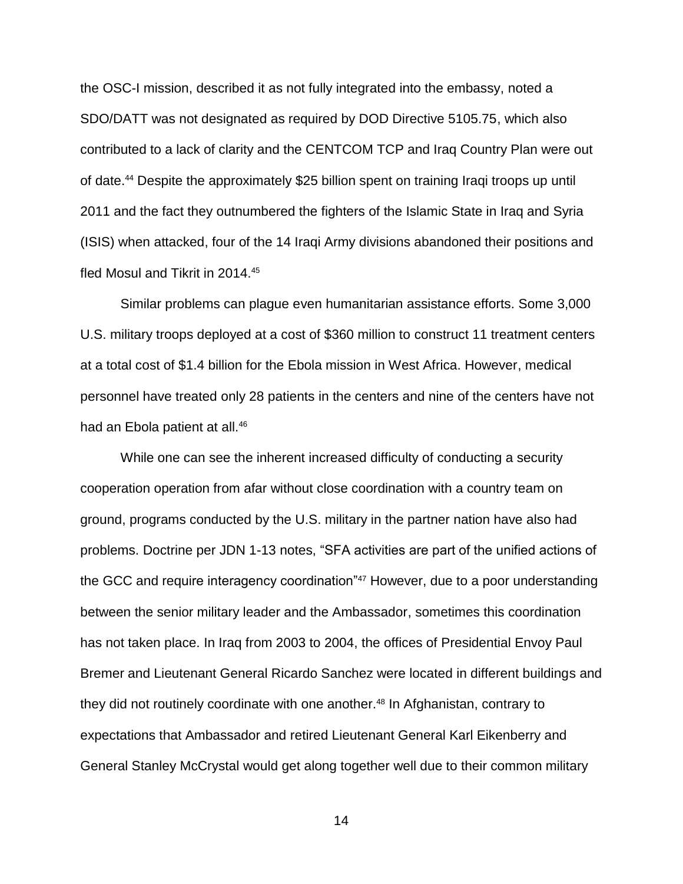the OSC-I mission, described it as not fully integrated into the embassy, noted a SDO/DATT was not designated as required by DOD Directive 5105.75, which also contributed to a lack of clarity and the CENTCOM TCP and Iraq Country Plan were out of date.<sup>44</sup> Despite the approximately \$25 billion spent on training Iraqi troops up until 2011 and the fact they outnumbered the fighters of the Islamic State in Iraq and Syria (ISIS) when attacked, four of the 14 Iraqi Army divisions abandoned their positions and fled Mosul and Tikrit in 2014.<sup>45</sup>

Similar problems can plague even humanitarian assistance efforts. Some 3,000 U.S. military troops deployed at a cost of \$360 million to construct 11 treatment centers at a total cost of \$1.4 billion for the Ebola mission in West Africa. However, medical personnel have treated only 28 patients in the centers and nine of the centers have not had an Ebola patient at all.<sup>46</sup>

While one can see the inherent increased difficulty of conducting a security cooperation operation from afar without close coordination with a country team on ground, programs conducted by the U.S. military in the partner nation have also had problems. Doctrine per JDN 1-13 notes, "SFA activities are part of the unified actions of the GCC and require interagency coordination"<sup>47</sup> However, due to a poor understanding between the senior military leader and the Ambassador, sometimes this coordination has not taken place. In Iraq from 2003 to 2004, the offices of Presidential Envoy Paul Bremer and Lieutenant General Ricardo Sanchez were located in different buildings and they did not routinely coordinate with one another.<sup>48</sup> In Afghanistan, contrary to expectations that Ambassador and retired Lieutenant General Karl Eikenberry and General Stanley McCrystal would get along together well due to their common military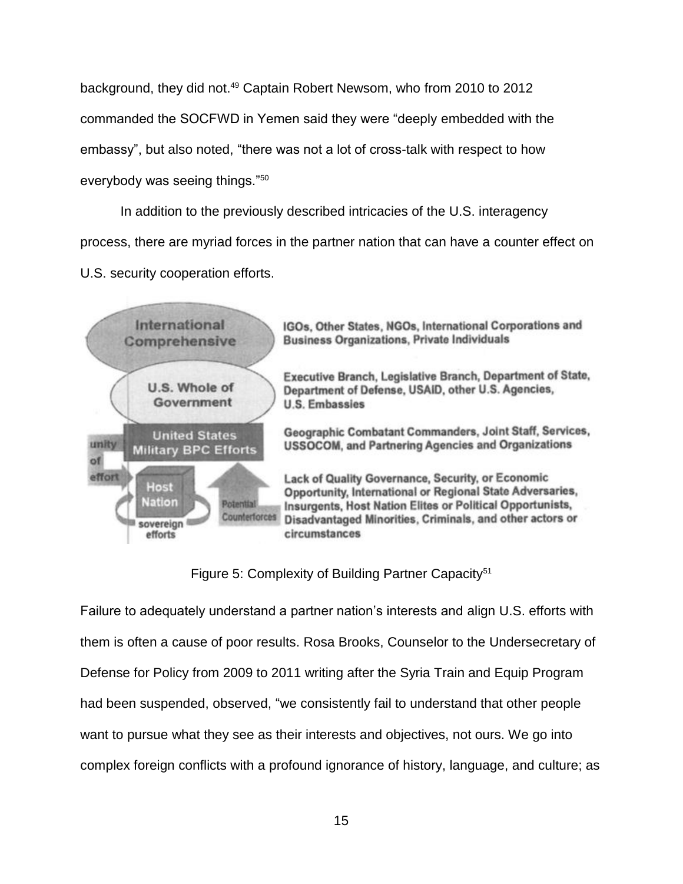background, they did not.<sup>49</sup> Captain Robert Newsom, who from 2010 to 2012 commanded the SOCFWD in Yemen said they were "deeply embedded with the embassy", but also noted, "there was not a lot of cross-talk with respect to how everybody was seeing things."<sup>50</sup>

In addition to the previously described intricacies of the U.S. interagency process, there are myriad forces in the partner nation that can have a counter effect on U.S. security cooperation efforts.



Figure 5: Complexity of Building Partner Capacity<sup>51</sup>

Failure to adequately understand a partner nation's interests and align U.S. efforts with them is often a cause of poor results. Rosa Brooks, Counselor to the Undersecretary of Defense for Policy from 2009 to 2011 writing after the Syria Train and Equip Program had been suspended, observed, "we consistently fail to understand that other people want to pursue what they see as their interests and objectives, not ours. We go into complex foreign conflicts with a profound ignorance of history, language, and culture; as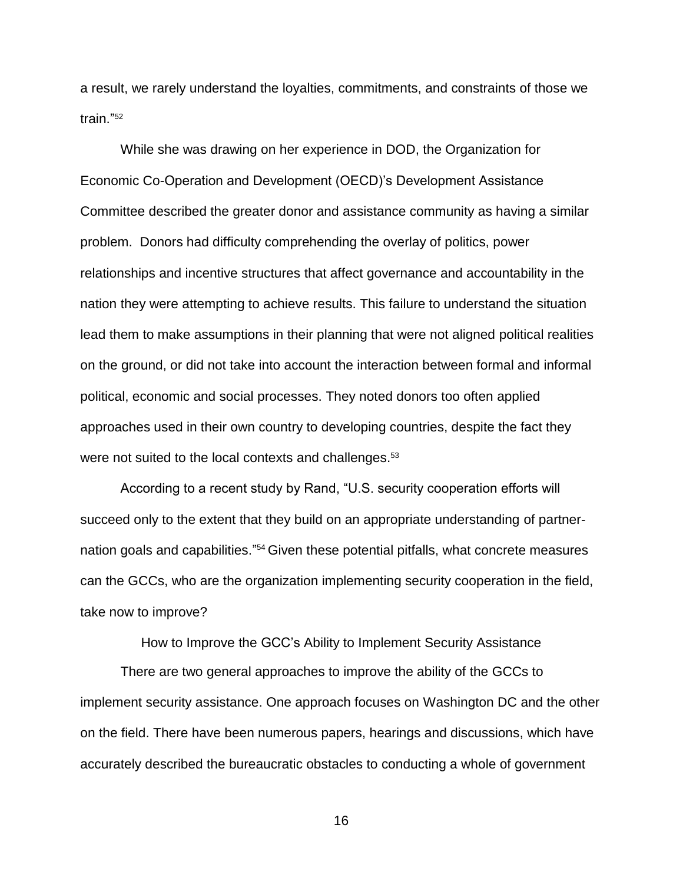a result, we rarely understand the loyalties, commitments, and constraints of those we train." 52

While she was drawing on her experience in DOD, the Organization for Economic Co-Operation and Development (OECD)'s Development Assistance Committee described the greater donor and assistance community as having a similar problem. Donors had difficulty comprehending the overlay of politics, power relationships and incentive structures that affect governance and accountability in the nation they were attempting to achieve results. This failure to understand the situation lead them to make assumptions in their planning that were not aligned political realities on the ground, or did not take into account the interaction between formal and informal political, economic and social processes. They noted donors too often applied approaches used in their own country to developing countries, despite the fact they were not suited to the local contexts and challenges.<sup>53</sup>

According to a recent study by Rand, "U.S. security cooperation efforts will succeed only to the extent that they build on an appropriate understanding of partnernation goals and capabilities."<sup>54</sup> Given these potential pitfalls, what concrete measures can the GCCs, who are the organization implementing security cooperation in the field, take now to improve?

How to Improve the GCC's Ability to Implement Security Assistance

There are two general approaches to improve the ability of the GCCs to implement security assistance. One approach focuses on Washington DC and the other on the field. There have been numerous papers, hearings and discussions, which have accurately described the bureaucratic obstacles to conducting a whole of government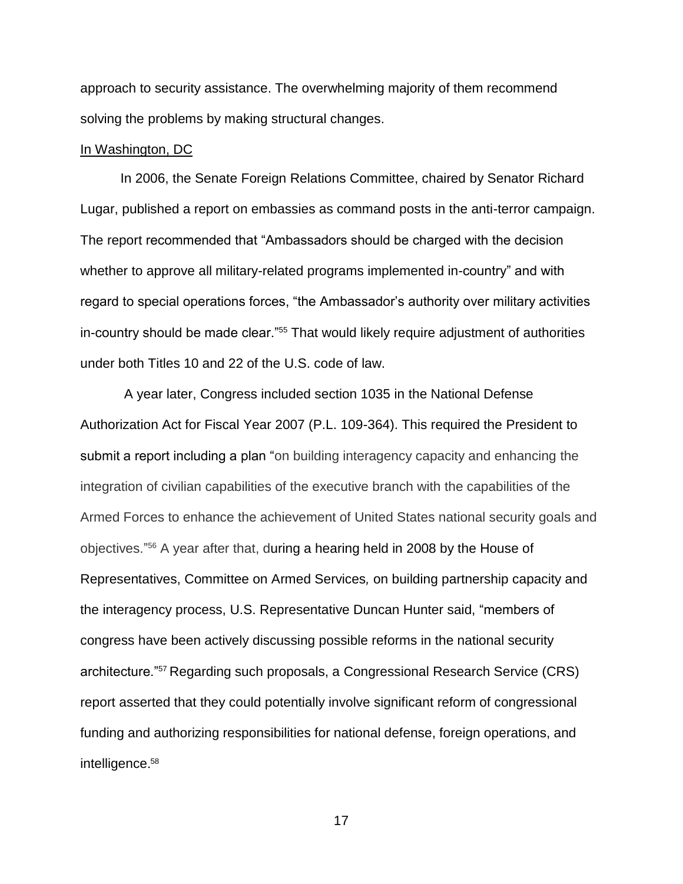approach to security assistance. The overwhelming majority of them recommend solving the problems by making structural changes.

### In Washington, DC

In 2006, the Senate Foreign Relations Committee, chaired by Senator Richard Lugar, published a report on embassies as command posts in the anti-terror campaign. The report recommended that "Ambassadors should be charged with the decision whether to approve all military-related programs implemented in-country" and with regard to special operations forces, "the Ambassador's authority over military activities in-country should be made clear."<sup>55</sup> That would likely require adjustment of authorities under both Titles 10 and 22 of the U.S. code of law.

A year later, Congress included section 1035 in the National Defense Authorization Act for Fiscal Year 2007 (P.L. 109-364). This required the President to submit a report including a plan "on building interagency capacity and enhancing the integration of civilian capabilities of the executive branch with the capabilities of the Armed Forces to enhance the achievement of United States national security goals and objectives." <sup>56</sup> A year after that, during a hearing held in 2008 by the House of Representatives, Committee on Armed Services*,* on building partnership capacity and the interagency process, U.S. Representative Duncan Hunter said, "members of congress have been actively discussing possible reforms in the national security architecture."<sup>57</sup> Regarding such proposals, a Congressional Research Service (CRS) report asserted that they could potentially involve significant reform of congressional funding and authorizing responsibilities for national defense, foreign operations, and intelligence. 58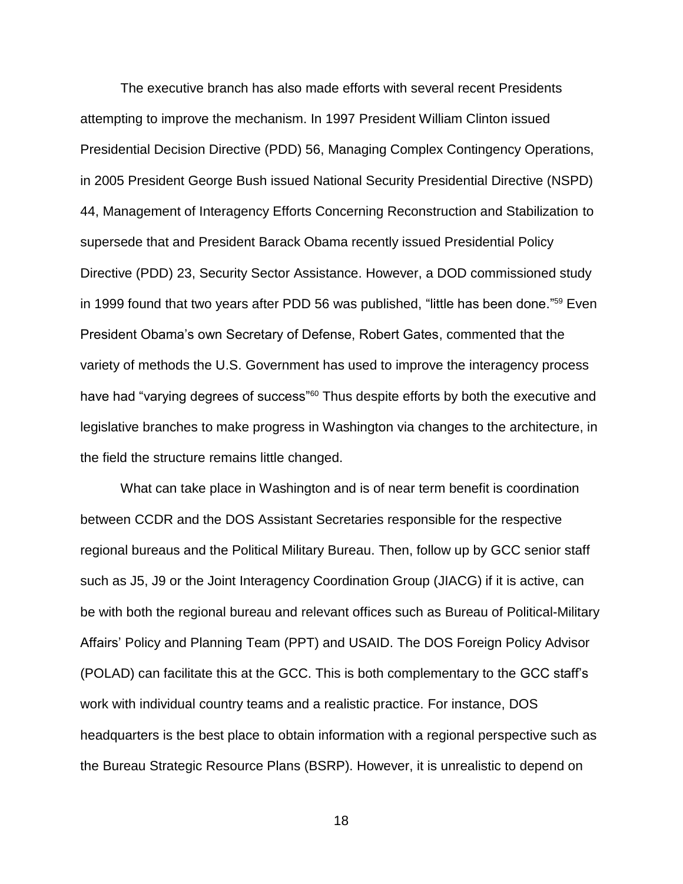The executive branch has also made efforts with several recent Presidents attempting to improve the mechanism. In 1997 President William Clinton issued Presidential Decision Directive (PDD) 56, Managing Complex Contingency Operations, in 2005 President George Bush issued National Security Presidential Directive (NSPD) 44, Management of Interagency Efforts Concerning Reconstruction and Stabilization to supersede that and President Barack Obama recently issued Presidential Policy Directive (PDD) 23, Security Sector Assistance. However, a DOD commissioned study in 1999 found that two years after PDD 56 was published, "little has been done." <sup>59</sup> Even President Obama's own Secretary of Defense, Robert Gates, commented that the variety of methods the U.S. Government has used to improve the interagency process have had "varying degrees of success"<sup>60</sup> Thus despite efforts by both the executive and legislative branches to make progress in Washington via changes to the architecture, in the field the structure remains little changed.

What can take place in Washington and is of near term benefit is coordination between CCDR and the DOS Assistant Secretaries responsible for the respective regional bureaus and the Political Military Bureau. Then, follow up by GCC senior staff such as J5, J9 or the Joint Interagency Coordination Group (JIACG) if it is active, can be with both the regional bureau and relevant offices such as Bureau of Political-Military Affairs' Policy and Planning Team (PPT) and USAID. The DOS Foreign Policy Advisor (POLAD) can facilitate this at the GCC. This is both complementary to the GCC staff's work with individual country teams and a realistic practice. For instance, DOS headquarters is the best place to obtain information with a regional perspective such as the Bureau Strategic Resource Plans (BSRP). However, it is unrealistic to depend on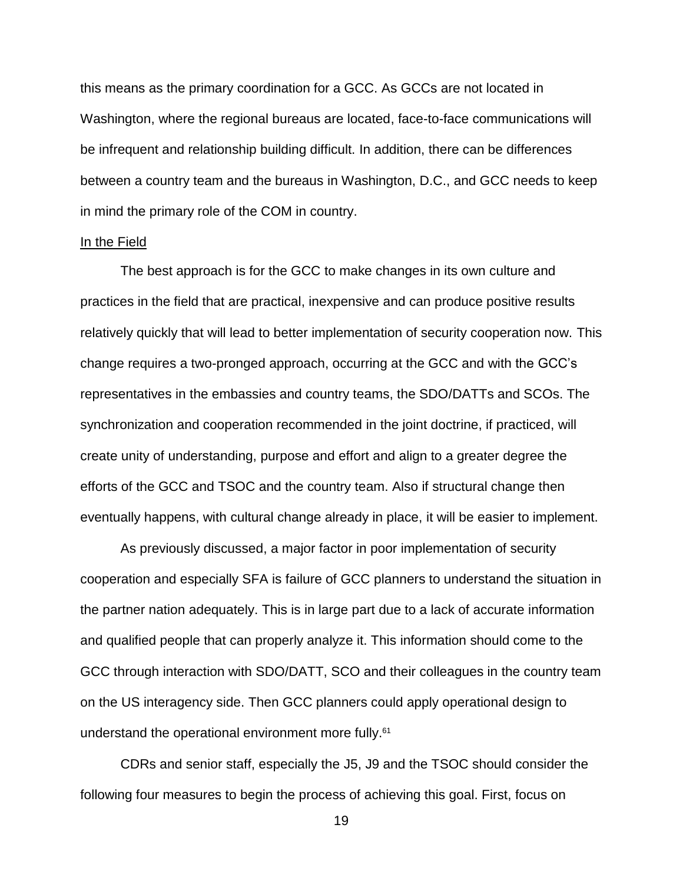this means as the primary coordination for a GCC. As GCCs are not located in Washington, where the regional bureaus are located, face-to-face communications will be infrequent and relationship building difficult. In addition, there can be differences between a country team and the bureaus in Washington, D.C., and GCC needs to keep in mind the primary role of the COM in country.

### In the Field

The best approach is for the GCC to make changes in its own culture and practices in the field that are practical, inexpensive and can produce positive results relatively quickly that will lead to better implementation of security cooperation now. This change requires a two-pronged approach, occurring at the GCC and with the GCC's representatives in the embassies and country teams, the SDO/DATTs and SCOs. The synchronization and cooperation recommended in the joint doctrine, if practiced, will create unity of understanding, purpose and effort and align to a greater degree the efforts of the GCC and TSOC and the country team. Also if structural change then eventually happens, with cultural change already in place, it will be easier to implement.

As previously discussed, a major factor in poor implementation of security cooperation and especially SFA is failure of GCC planners to understand the situation in the partner nation adequately. This is in large part due to a lack of accurate information and qualified people that can properly analyze it. This information should come to the GCC through interaction with SDO/DATT, SCO and their colleagues in the country team on the US interagency side. Then GCC planners could apply operational design to understand the operational environment more fully.<sup>61</sup>

CDRs and senior staff, especially the J5, J9 and the TSOC should consider the following four measures to begin the process of achieving this goal. First, focus on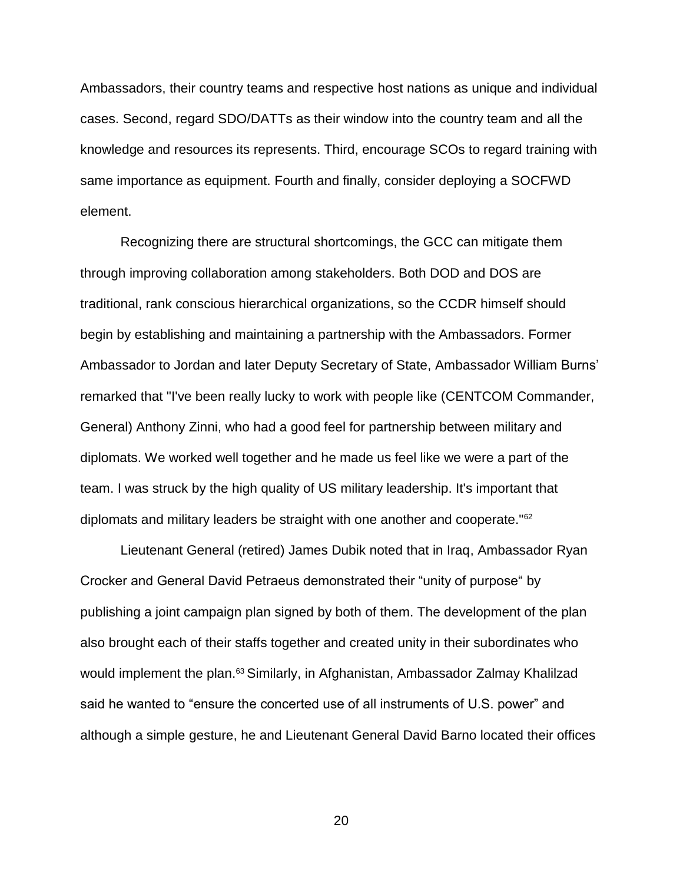Ambassadors, their country teams and respective host nations as unique and individual cases. Second, regard SDO/DATTs as their window into the country team and all the knowledge and resources its represents. Third, encourage SCOs to regard training with same importance as equipment. Fourth and finally, consider deploying a SOCFWD element.

Recognizing there are structural shortcomings, the GCC can mitigate them through improving collaboration among stakeholders. Both DOD and DOS are traditional, rank conscious hierarchical organizations, so the CCDR himself should begin by establishing and maintaining a partnership with the Ambassadors. Former Ambassador to Jordan and later Deputy Secretary of State, Ambassador William Burns' remarked that "I've been really lucky to work with people like (CENTCOM Commander, General) Anthony Zinni, who had a good feel for partnership between military and diplomats. We worked well together and he made us feel like we were a part of the team. I was struck by the high quality of US military leadership. It's important that diplomats and military leaders be straight with one another and cooperate."<sup>62</sup>

Lieutenant General (retired) James Dubik noted that in Iraq, Ambassador Ryan Crocker and General David Petraeus demonstrated their "unity of purpose" by publishing a joint campaign plan signed by both of them. The development of the plan also brought each of their staffs together and created unity in their subordinates who would implement the plan.<sup>63</sup> Similarly, in Afghanistan, Ambassador Zalmay Khalilzad said he wanted to "ensure the concerted use of all instruments of U.S. power" and although a simple gesture, he and Lieutenant General David Barno located their offices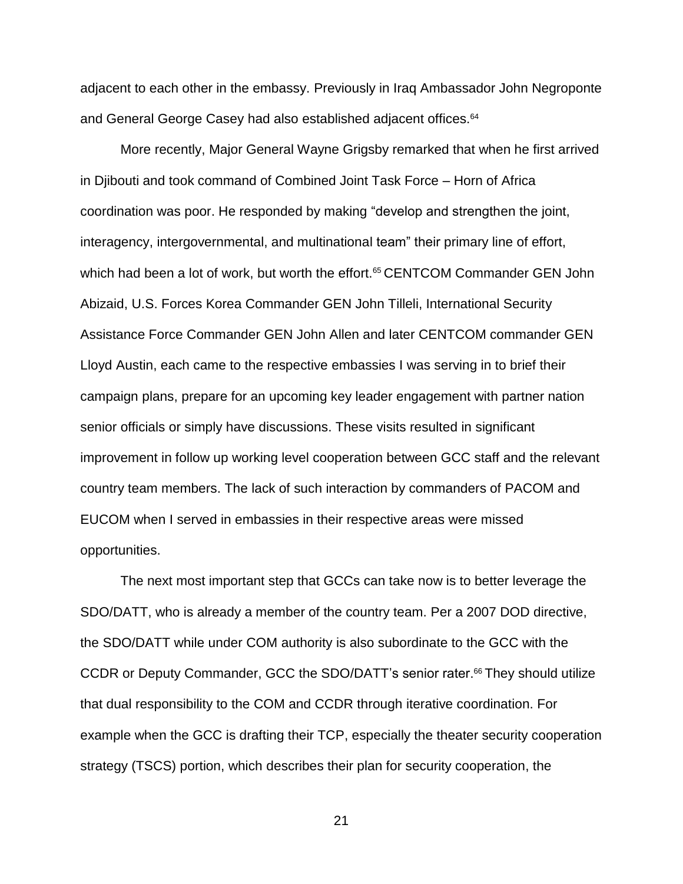adjacent to each other in the embassy. Previously in Iraq Ambassador John Negroponte and General George Casey had also established adjacent offices.<sup>64</sup>

More recently, Major General Wayne Grigsby remarked that when he first arrived in Djibouti and took command of Combined Joint Task Force – Horn of Africa coordination was poor. He responded by making "develop and strengthen the joint, interagency, intergovernmental, and multinational team" their primary line of effort, which had been a lot of work, but worth the effort.<sup>65</sup> CENTCOM Commander GEN John Abizaid, U.S. Forces Korea Commander GEN John Tilleli, International Security Assistance Force Commander GEN John Allen and later CENTCOM commander GEN Lloyd Austin, each came to the respective embassies I was serving in to brief their campaign plans, prepare for an upcoming key leader engagement with partner nation senior officials or simply have discussions. These visits resulted in significant improvement in follow up working level cooperation between GCC staff and the relevant country team members. The lack of such interaction by commanders of PACOM and EUCOM when I served in embassies in their respective areas were missed opportunities.

The next most important step that GCCs can take now is to better leverage the SDO/DATT, who is already a member of the country team. Per a 2007 DOD directive, the SDO/DATT while under COM authority is also subordinate to the GCC with the CCDR or Deputy Commander, GCC the SDO/DATT's senior rater.<sup>66</sup> They should utilize that dual responsibility to the COM and CCDR through iterative coordination. For example when the GCC is drafting their TCP, especially the theater security cooperation strategy (TSCS) portion, which describes their plan for security cooperation, the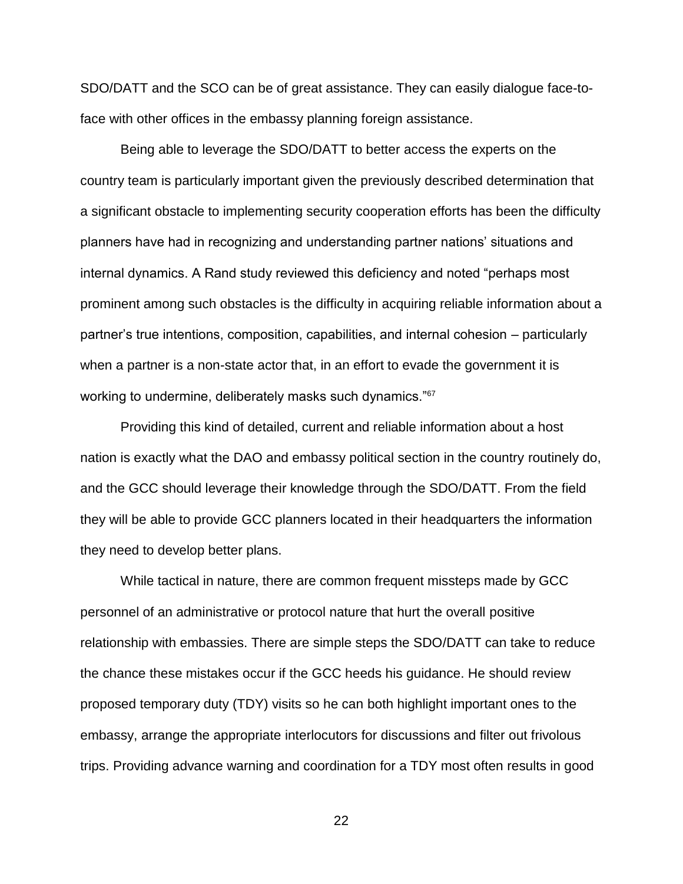SDO/DATT and the SCO can be of great assistance. They can easily dialogue face-toface with other offices in the embassy planning foreign assistance.

Being able to leverage the SDO/DATT to better access the experts on the country team is particularly important given the previously described determination that a significant obstacle to implementing security cooperation efforts has been the difficulty planners have had in recognizing and understanding partner nations' situations and internal dynamics. A Rand study reviewed this deficiency and noted "perhaps most prominent among such obstacles is the difficulty in acquiring reliable information about a partner's true intentions, composition, capabilities, and internal cohesion – particularly when a partner is a non-state actor that, in an effort to evade the government it is working to undermine, deliberately masks such dynamics."<sup>67</sup>

Providing this kind of detailed, current and reliable information about a host nation is exactly what the DAO and embassy political section in the country routinely do, and the GCC should leverage their knowledge through the SDO/DATT. From the field they will be able to provide GCC planners located in their headquarters the information they need to develop better plans.

While tactical in nature, there are common frequent missteps made by GCC personnel of an administrative or protocol nature that hurt the overall positive relationship with embassies. There are simple steps the SDO/DATT can take to reduce the chance these mistakes occur if the GCC heeds his guidance. He should review proposed temporary duty (TDY) visits so he can both highlight important ones to the embassy, arrange the appropriate interlocutors for discussions and filter out frivolous trips. Providing advance warning and coordination for a TDY most often results in good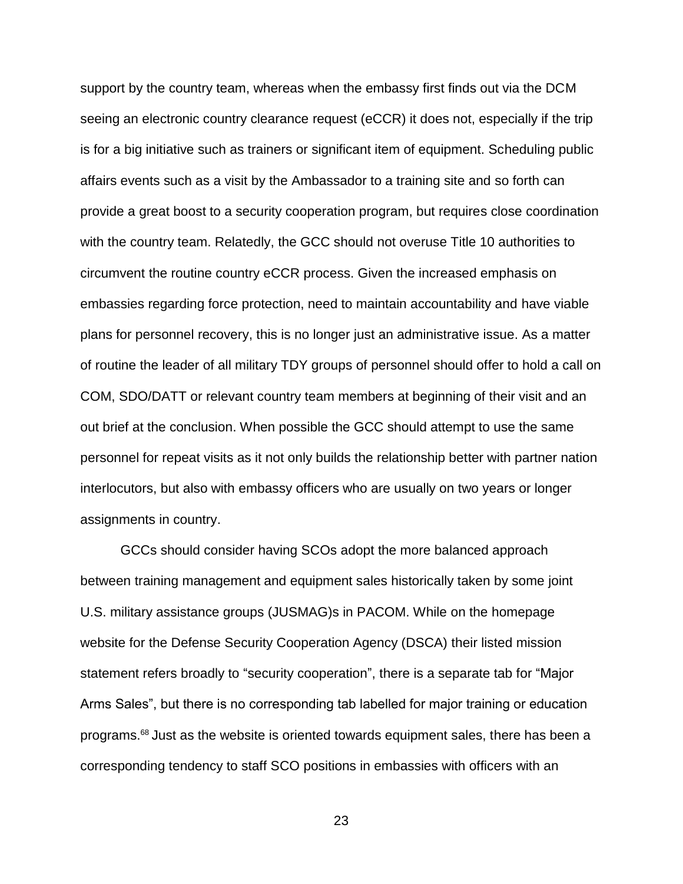support by the country team, whereas when the embassy first finds out via the DCM seeing an electronic country clearance request (eCCR) it does not, especially if the trip is for a big initiative such as trainers or significant item of equipment. Scheduling public affairs events such as a visit by the Ambassador to a training site and so forth can provide a great boost to a security cooperation program, but requires close coordination with the country team. Relatedly, the GCC should not overuse Title 10 authorities to circumvent the routine country eCCR process. Given the increased emphasis on embassies regarding force protection, need to maintain accountability and have viable plans for personnel recovery, this is no longer just an administrative issue. As a matter of routine the leader of all military TDY groups of personnel should offer to hold a call on COM, SDO/DATT or relevant country team members at beginning of their visit and an out brief at the conclusion. When possible the GCC should attempt to use the same personnel for repeat visits as it not only builds the relationship better with partner nation interlocutors, but also with embassy officers who are usually on two years or longer assignments in country.

GCCs should consider having SCOs adopt the more balanced approach between training management and equipment sales historically taken by some joint U.S. military assistance groups (JUSMAG)s in PACOM. While on the homepage website for the Defense Security Cooperation Agency (DSCA) their listed mission statement refers broadly to "security cooperation", there is a separate tab for "Major Arms Sales", but there is no corresponding tab labelled for major training or education programs.<sup>68</sup> Just as the website is oriented towards equipment sales, there has been a corresponding tendency to staff SCO positions in embassies with officers with an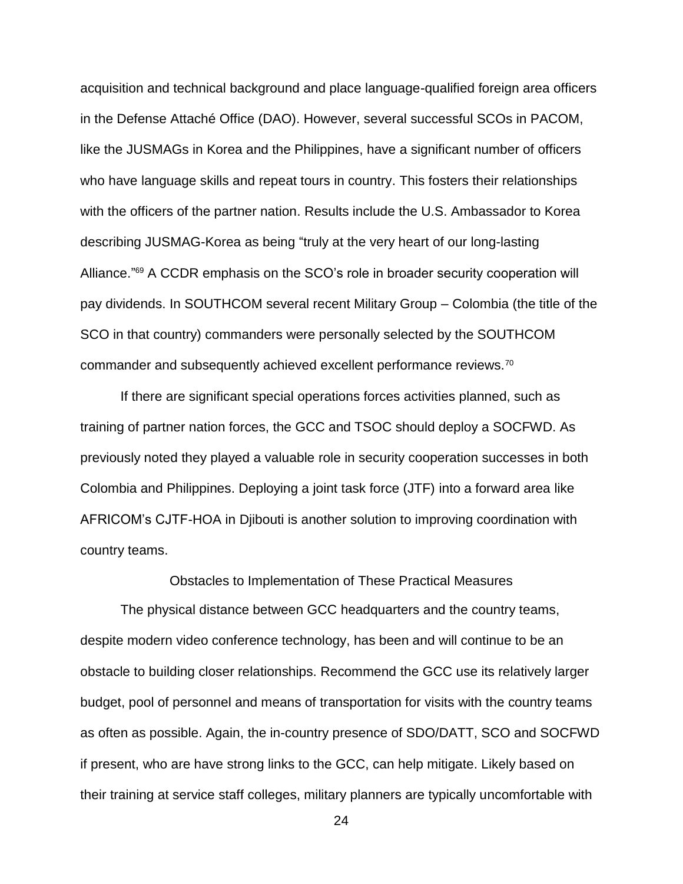acquisition and technical background and place language-qualified foreign area officers in the Defense Attaché Office (DAO). However, several successful SCOs in PACOM, like the JUSMAGs in Korea and the Philippines, have a significant number of officers who have language skills and repeat tours in country. This fosters their relationships with the officers of the partner nation. Results include the U.S. Ambassador to Korea describing JUSMAG-Korea as being "truly at the very heart of our long-lasting Alliance."<sup>69</sup> A CCDR emphasis on the SCO's role in broader security cooperation will pay dividends. In SOUTHCOM several recent Military Group – Colombia (the title of the SCO in that country) commanders were personally selected by the SOUTHCOM commander and subsequently achieved excellent performance reviews.<sup>70</sup>

If there are significant special operations forces activities planned, such as training of partner nation forces, the GCC and TSOC should deploy a SOCFWD. As previously noted they played a valuable role in security cooperation successes in both Colombia and Philippines. Deploying a joint task force (JTF) into a forward area like AFRICOM's CJTF-HOA in Djibouti is another solution to improving coordination with country teams.

Obstacles to Implementation of These Practical Measures

The physical distance between GCC headquarters and the country teams, despite modern video conference technology, has been and will continue to be an obstacle to building closer relationships. Recommend the GCC use its relatively larger budget, pool of personnel and means of transportation for visits with the country teams as often as possible. Again, the in-country presence of SDO/DATT, SCO and SOCFWD if present, who are have strong links to the GCC, can help mitigate. Likely based on their training at service staff colleges, military planners are typically uncomfortable with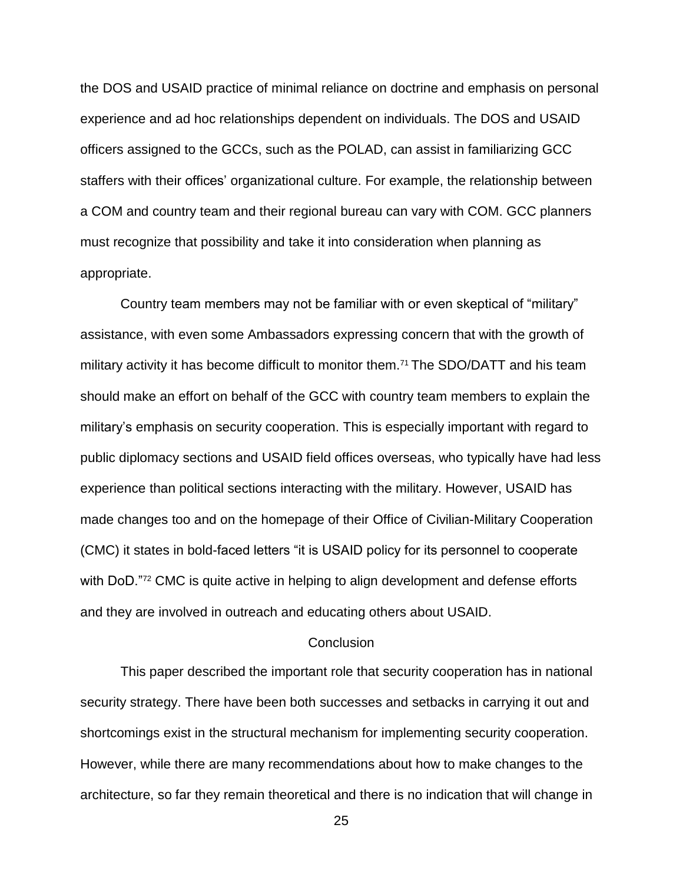the DOS and USAID practice of minimal reliance on doctrine and emphasis on personal experience and ad hoc relationships dependent on individuals. The DOS and USAID officers assigned to the GCCs, such as the POLAD, can assist in familiarizing GCC staffers with their offices' organizational culture. For example, the relationship between a COM and country team and their regional bureau can vary with COM. GCC planners must recognize that possibility and take it into consideration when planning as appropriate.

Country team members may not be familiar with or even skeptical of "military" assistance, with even some Ambassadors expressing concern that with the growth of military activity it has become difficult to monitor them.<sup>71</sup> The SDO/DATT and his team should make an effort on behalf of the GCC with country team members to explain the military's emphasis on security cooperation. This is especially important with regard to public diplomacy sections and USAID field offices overseas, who typically have had less experience than political sections interacting with the military. However, USAID has made changes too and on the homepage of their Office of Civilian-Military Cooperation (CMC) it states in bold-faced letters "it is USAID policy for its personnel to cooperate with DoD."<sup>72</sup> CMC is quite active in helping to align development and defense efforts and they are involved in outreach and educating others about USAID.

### **Conclusion**

This paper described the important role that security cooperation has in national security strategy. There have been both successes and setbacks in carrying it out and shortcomings exist in the structural mechanism for implementing security cooperation. However, while there are many recommendations about how to make changes to the architecture, so far they remain theoretical and there is no indication that will change in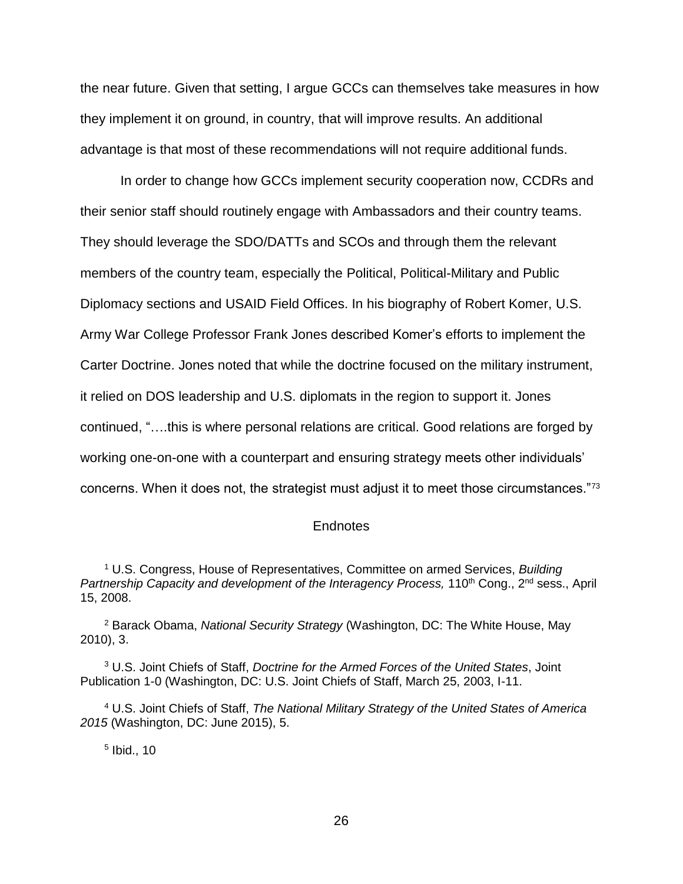the near future. Given that setting, I argue GCCs can themselves take measures in how they implement it on ground, in country, that will improve results. An additional advantage is that most of these recommendations will not require additional funds.

In order to change how GCCs implement security cooperation now, CCDRs and their senior staff should routinely engage with Ambassadors and their country teams. They should leverage the SDO/DATTs and SCOs and through them the relevant members of the country team, especially the Political, Political-Military and Public Diplomacy sections and USAID Field Offices. In his biography of Robert Komer, U.S. Army War College Professor Frank Jones described Komer's efforts to implement the Carter Doctrine. Jones noted that while the doctrine focused on the military instrument, it relied on DOS leadership and U.S. diplomats in the region to support it. Jones continued, "….this is where personal relations are critical. Good relations are forged by working one-on-one with a counterpart and ensuring strategy meets other individuals' concerns. When it does not, the strategist must adjust it to meet those circumstances."<sup>73</sup>

### **Endnotes**

<sup>1</sup> U.S. Congress, House of Representatives, Committee on armed Services, *Building Partnership Capacity and development of the Interagency Process,* 110<sup>th</sup> Cong., 2<sup>nd</sup> sess., April 15, 2008.

<sup>2</sup> Barack Obama, *National Security Strategy* (Washington, DC: The White House, May 2010), 3.

<sup>3</sup> U.S. Joint Chiefs of Staff, *Doctrine for the Armed Forces of the United States*, Joint Publication 1-0 (Washington, DC: U.S. Joint Chiefs of Staff, March 25, 2003, I-11.

<sup>4</sup> U.S. Joint Chiefs of Staff, *The National Military Strategy of the United States of America 2015* (Washington, DC: June 2015), 5.

5 Ibid., 10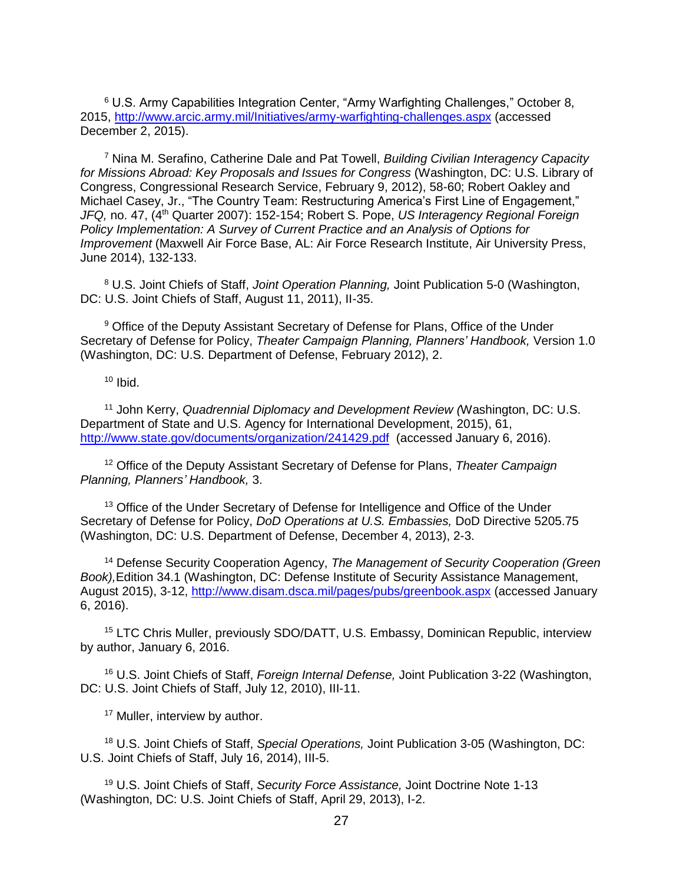$6$  U.S. Army Capabilities Integration Center, "Army Warfighting Challenges," October 8, 2015, <http://www.arcic.army.mil/Initiatives/army-warfighting-challenges.aspx> (accessed December 2, 2015).

<sup>7</sup> Nina M. Serafino, Catherine Dale and Pat Towell, *Building Civilian Interagency Capacity for Missions Abroad: Key Proposals and Issues for Congress* (Washington, DC: U.S. Library of Congress, Congressional Research Service, February 9, 2012), 58-60; Robert Oakley and Michael Casey, Jr., "The Country Team: Restructuring America's First Line of Engagement," *JFQ, no. 47, (4<sup>th</sup> Quarter 2007): 152-154; Robert S. Pope, US Interagency Regional Foreign Policy Implementation: A Survey of Current Practice and an Analysis of Options for Improvement* (Maxwell Air Force Base, AL: Air Force Research Institute, Air University Press, June 2014), 132-133.

<sup>8</sup> U.S. Joint Chiefs of Staff, *Joint Operation Planning,* Joint Publication 5-0 (Washington, DC: U.S. Joint Chiefs of Staff, August 11, 2011), II-35.

<sup>9</sup> Office of the Deputy Assistant Secretary of Defense for Plans, Office of the Under Secretary of Defense for Policy, *Theater Campaign Planning, Planners' Handbook,* Version 1.0 (Washington, DC: U.S. Department of Defense, February 2012), 2.

 $10$  Ibid.

<sup>11</sup> John Kerry, *Quadrennial Diplomacy and Development Review (*Washington, DC: U.S. Department of State and U.S. Agency for International Development, 2015), 61, <http://www.state.gov/documents/organization/241429.pdf>(accessed January 6, 2016).

<sup>12</sup> Office of the Deputy Assistant Secretary of Defense for Plans, *Theater Campaign Planning, Planners' Handbook,* 3.

<sup>13</sup> Office of the Under Secretary of Defense for Intelligence and Office of the Under Secretary of Defense for Policy, *DoD Operations at U.S. Embassies,* DoD Directive 5205.75 (Washington, DC: U.S. Department of Defense, December 4, 2013), 2-3.

<sup>14</sup> Defense Security Cooperation Agency, *The Management of Security Cooperation (Green Book),*Edition 34.1 (Washington, DC: Defense Institute of Security Assistance Management, August 2015), 3-12, <http://www.disam.dsca.mil/pages/pubs/greenbook.aspx> (accessed January 6, 2016).

<sup>15</sup> LTC Chris Muller, previously SDO/DATT, U.S. Embassy, Dominican Republic, interview by author, January 6, 2016.

<sup>16</sup> U.S. Joint Chiefs of Staff, *Foreign Internal Defense,* Joint Publication 3-22 (Washington, DC: U.S. Joint Chiefs of Staff, July 12, 2010), III-11.

<sup>17</sup> Muller, interview by author.

<sup>18</sup> U.S. Joint Chiefs of Staff, *Special Operations,* Joint Publication 3-05 (Washington, DC: U.S. Joint Chiefs of Staff, July 16, 2014), III-5.

<sup>19</sup> U.S. Joint Chiefs of Staff, *Security Force Assistance,* Joint Doctrine Note 1-13 (Washington, DC: U.S. Joint Chiefs of Staff, April 29, 2013), I-2.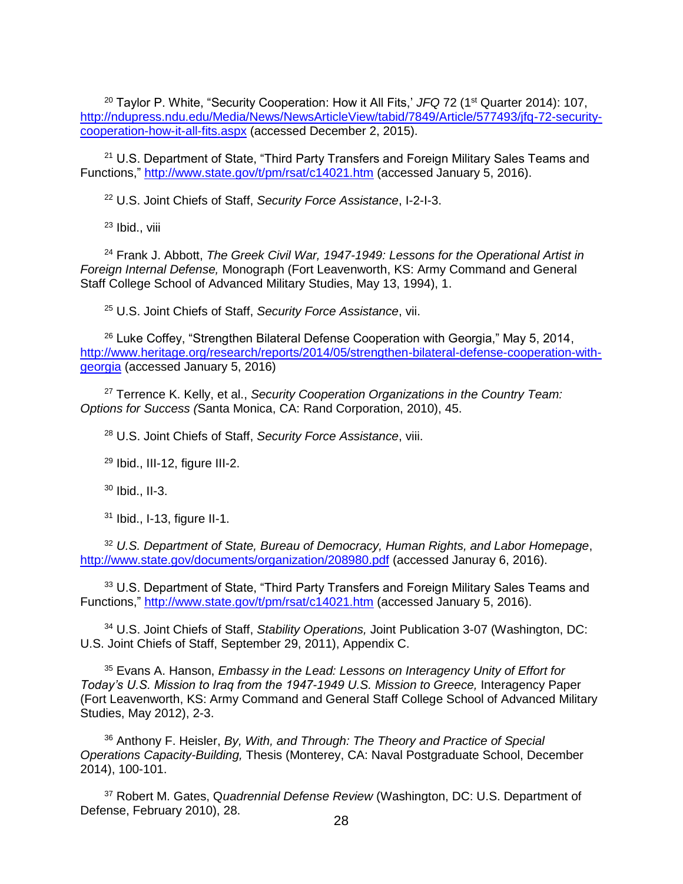<sup>20</sup> Taylor P. White, "Security Cooperation: How it All Fits,' JFQ 72 (1<sup>st</sup> Quarter 2014): 107, [http://ndupress.ndu.edu/Media/News/NewsArticleView/tabid/7849/Article/577493/jfq-72-security](http://ndupress.ndu.edu/Media/News/NewsArticleView/tabid/7849/Article/577493/jfq-72-security-cooperation-how-it-all-fits.aspx)[cooperation-how-it-all-fits.aspx](http://ndupress.ndu.edu/Media/News/NewsArticleView/tabid/7849/Article/577493/jfq-72-security-cooperation-how-it-all-fits.aspx) (accessed December 2, 2015).

<sup>21</sup> U.S. Department of State, "Third Party Transfers and Foreign Military Sales Teams and Functions,"<http://www.state.gov/t/pm/rsat/c14021.htm> (accessed January 5, 2016).

<sup>22</sup> U.S. Joint Chiefs of Staff, *Security Force Assistance*, I-2-I-3.

<sup>23</sup> Ibid., viii

<sup>24</sup> Frank J. Abbott, *The Greek Civil War, 1947-1949: Lessons for the Operational Artist in Foreign Internal Defense,* Monograph (Fort Leavenworth, KS: Army Command and General Staff College School of Advanced Military Studies, May 13, 1994), 1.

<sup>25</sup> U.S. Joint Chiefs of Staff, *Security Force Assistance*, vii.

 $26$  Luke Coffey, "Strengthen Bilateral Defense Cooperation with Georgia," May 5, 2014, [http://www.heritage.org/research/reports/2014/05/strengthen-bilateral-defense-cooperation-with](http://www.heritage.org/research/reports/2014/05/strengthen-bilateral-defense-cooperation-with-georgia)[georgia](http://www.heritage.org/research/reports/2014/05/strengthen-bilateral-defense-cooperation-with-georgia) (accessed January 5, 2016)

<sup>27</sup> Terrence K. Kelly, et al., *Security Cooperation Organizations in the Country Team: Options for Success (*Santa Monica, CA: Rand Corporation, 2010), 45.

<sup>28</sup> U.S. Joint Chiefs of Staff, *Security Force Assistance*, viii.

 $29$  Ibid., III-12, figure III-2.

<sup>30</sup> Ibid., II-3.

<sup>31</sup> Ibid., I-13, figure II-1.

<sup>32</sup> *U.S. Department of State, Bureau of Democracy, Human Rights, and Labor Homepage*, <http://www.state.gov/documents/organization/208980.pdf> (accessed Januray 6, 2016).

33 U.S. Department of State, "Third Party Transfers and Foreign Military Sales Teams and Functions," <http://www.state.gov/t/pm/rsat/c14021.htm> (accessed January 5, 2016).

<sup>34</sup> U.S. Joint Chiefs of Staff, *Stability Operations,* Joint Publication 3-07 (Washington, DC: U.S. Joint Chiefs of Staff, September 29, 2011), Appendix C.

<sup>35</sup> Evans A. Hanson, *Embassy in the Lead: Lessons on Interagency Unity of Effort for*  Today's U.S. Mission to Iraq from the 1947-1949 U.S. Mission to Greece, Interagency Paper (Fort Leavenworth, KS: Army Command and General Staff College School of Advanced Military Studies, May 2012), 2-3.

<sup>36</sup> Anthony F. Heisler, *By, With, and Through: The Theory and Practice of Special Operations Capacity-Building,* Thesis (Monterey, CA: Naval Postgraduate School, December 2014), 100-101.

<sup>37</sup> Robert M. Gates, Q*uadrennial Defense Review* (Washington, DC: U.S. Department of Defense, February 2010), 28.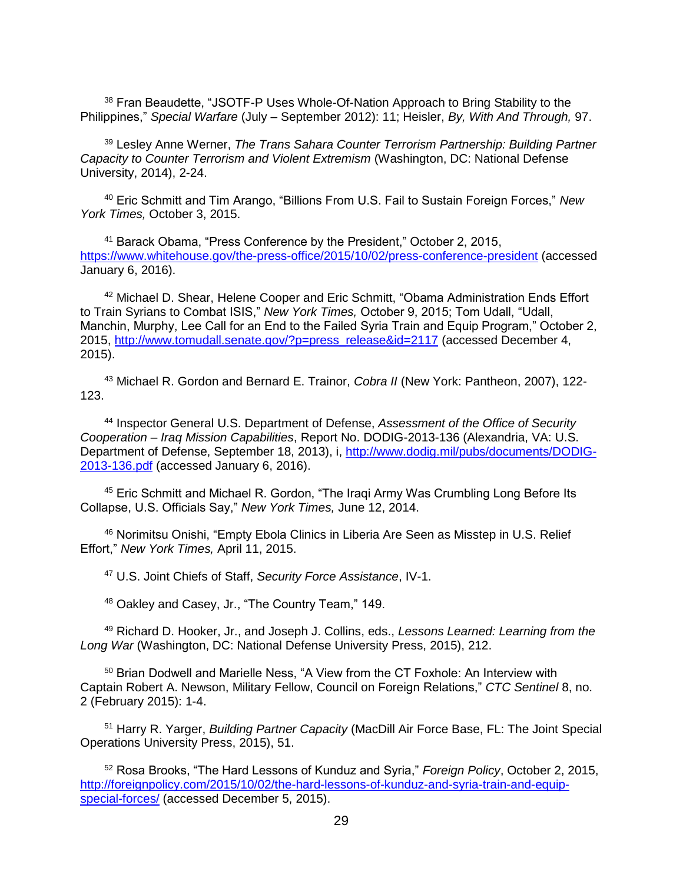<sup>38</sup> Fran Beaudette, "JSOTF-P Uses Whole-Of-Nation Approach to Bring Stability to the Philippines," *Special Warfare* (July – September 2012): 11; Heisler, *By, With And Through,* 97.

<sup>39</sup> Lesley Anne Werner, *The Trans Sahara Counter Terrorism Partnership: Building Partner Capacity to Counter Terrorism and Violent Extremism* (Washington, DC: National Defense University, 2014), 2-24.

<sup>40</sup> Eric Schmitt and Tim Arango, "Billions From U.S. Fail to Sustain Foreign Forces," *New York Times,* October 3, 2015.

<sup>41</sup> Barack Obama, "Press Conference by the President," October 2, 2015, <https://www.whitehouse.gov/the-press-office/2015/10/02/press-conference-president> (accessed January 6, 2016).

<sup>42</sup> Michael D. Shear, Helene Cooper and Eric Schmitt, "Obama Administration Ends Effort to Train Syrians to Combat ISIS," *New York Times,* October 9, 2015; Tom Udall, "Udall, Manchin, Murphy, Lee Call for an End to the Failed Syria Train and Equip Program," October 2, 2015, [http://www.tomudall.senate.gov/?p=press\\_release&id=2117](http://www.tomudall.senate.gov/?p=press_release&id=2117) (accessed December 4, 2015).

<sup>43</sup> Michael R. Gordon and Bernard E. Trainor, *Cobra II* (New York: Pantheon, 2007), 122- 123.

<sup>44</sup> Inspector General U.S. Department of Defense, *Assessment of the Office of Security Cooperation – Iraq Mission Capabilities*, Report No. DODIG-2013-136 (Alexandria, VA: U.S. Department of Defense, September 18, 2013), i, [http://www.dodig.mil/pubs/documents/DODIG-](http://www.dodig.mil/pubs/documents/DODIG-2013-136.pdf)[2013-136.pdf](http://www.dodig.mil/pubs/documents/DODIG-2013-136.pdf) (accessed January 6, 2016).

<sup>45</sup> Eric Schmitt and Michael R. Gordon, "The Iragi Army Was Crumbling Long Before Its Collapse, U.S. Officials Say," *New York Times,* June 12, 2014.

<sup>46</sup> Norimitsu Onishi, "Empty Ebola Clinics in Liberia Are Seen as Misstep in U.S. Relief Effort," *New York Times,* April 11, 2015.

<sup>47</sup> U.S. Joint Chiefs of Staff, *Security Force Assistance*, IV-1.

<sup>48</sup> Oakley and Casey, Jr., "The Country Team," 149.

<sup>49</sup> Richard D. Hooker, Jr., and Joseph J. Collins, eds., *Lessons Learned: Learning from the Long War* (Washington, DC: National Defense University Press, 2015), 212.

<sup>50</sup> Brian Dodwell and Marielle Ness, "A View from the CT Foxhole: An Interview with Captain Robert A. Newson, Military Fellow, Council on Foreign Relations," *CTC Sentinel* 8, no. 2 (February 2015): 1-4.

<sup>51</sup> Harry R. Yarger, *Building Partner Capacity* (MacDill Air Force Base, FL: The Joint Special Operations University Press, 2015), 51.

<sup>52</sup> Rosa Brooks, "The Hard Lessons of Kunduz and Syria," *Foreign Policy*, October 2, 2015, [http://foreignpolicy.com/2015/10/02/the-hard-lessons-of-kunduz-and-syria-train-and-equip](http://foreignpolicy.com/2015/10/02/the-hard-lessons-of-kunduz-and-syria-train-and-equip-special-forces/)[special-forces/](http://foreignpolicy.com/2015/10/02/the-hard-lessons-of-kunduz-and-syria-train-and-equip-special-forces/) (accessed December 5, 2015).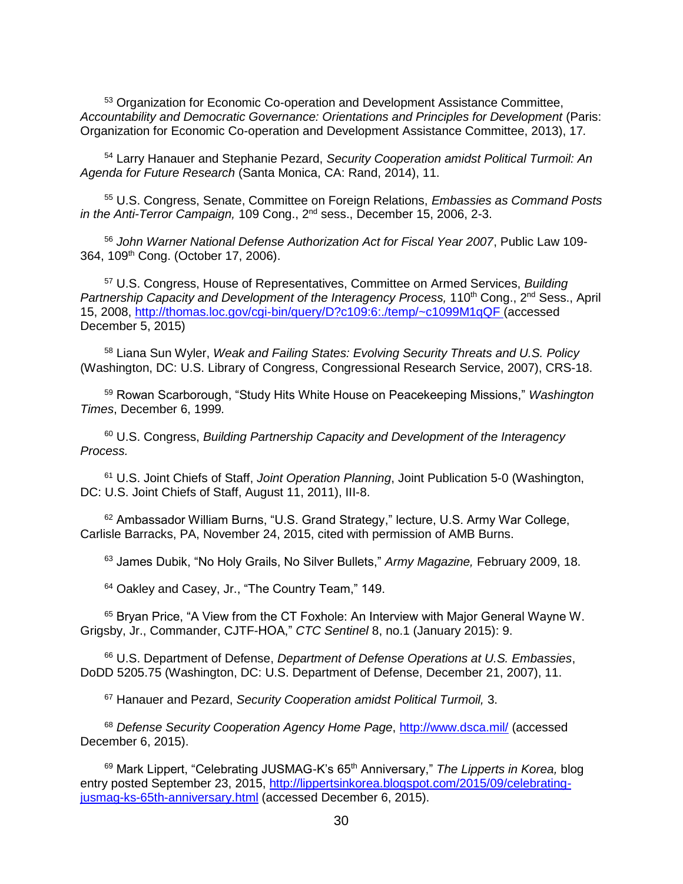<sup>53</sup> Organization for Economic Co-operation and Development Assistance Committee, *Accountability and Democratic Governance: Orientations and Principles for Development* (Paris: Organization for Economic Co-operation and Development Assistance Committee, 2013), 17*.*

<sup>54</sup> Larry Hanauer and Stephanie Pezard, *Security Cooperation amidst Political Turmoil: An Agenda for Future Research* (Santa Monica, CA: Rand, 2014), 11.

<sup>55</sup> U.S. Congress, Senate, Committee on Foreign Relations, *Embassies as Command Posts in the Anti-Terror Campaign,* 109 Cong., 2nd sess., December 15, 2006, 2-3.

<sup>56</sup> *John Warner National Defense Authorization Act for Fiscal Year 2007*, Public Law 109- 364, 109th Cong. (October 17, 2006).

<sup>57</sup> U.S. Congress, House of Representatives, Committee on Armed Services, *Building*  Partnership Capacity and Development of the Interagency Process, 110<sup>th</sup> Cong., 2<sup>nd</sup> Sess., April 15, 2008, <http://thomas.loc.gov/cgi-bin/query/D?c109:6:./temp/~c1099M1qQF> (accessed December 5, 2015)

<sup>58</sup> Liana Sun Wyler, *Weak and Failing States: Evolving Security Threats and U.S. Policy* (Washington, DC: U.S. Library of Congress, Congressional Research Service, 2007), CRS-18.

<sup>59</sup> Rowan Scarborough, "Study Hits White House on Peacekeeping Missions," *Washington Times*, December 6, 1999*.*

<sup>60</sup> U.S. Congress, *Building Partnership Capacity and Development of the Interagency Process.*

<sup>61</sup> U.S. Joint Chiefs of Staff, *Joint Operation Planning*, Joint Publication 5-0 (Washington, DC: U.S. Joint Chiefs of Staff, August 11, 2011), III-8.

<sup>62</sup> Ambassador William Burns, "U.S. Grand Strategy," lecture, U.S. Army War College, Carlisle Barracks, PA, November 24, 2015, cited with permission of AMB Burns.

<sup>63</sup> James Dubik, "No Holy Grails, No Silver Bullets," *Army Magazine,* February 2009, 18.

<sup>64</sup> Oakley and Casey, Jr., "The Country Team," 149.

<sup>65</sup> Bryan Price, "A View from the CT Foxhole: An Interview with Major General Wayne W. Grigsby, Jr., Commander, CJTF-HOA," *CTC Sentinel* 8, no.1 (January 2015): 9.

<sup>66</sup> U.S. Department of Defense, *Department of Defense Operations at U.S. Embassies*, DoDD 5205.75 (Washington, DC: U.S. Department of Defense, December 21, 2007), 11.

<sup>67</sup> Hanauer and Pezard, *Security Cooperation amidst Political Turmoil,* 3.

<sup>68</sup> *Defense Security Cooperation Agency Home Page*,<http://www.dsca.mil/> (accessed December 6, 2015).

<sup>69</sup> Mark Lippert, "Celebrating JUSMAG-K's 65th Anniversary," *The Lipperts in Korea,* blog entry posted September 23, 2015, [http://lippertsinkorea.blogspot.com/2015/09/celebrating](http://lippertsinkorea.blogspot.com/2015/09/celebrating-jusmag-ks-65th-anniversary.html)[jusmag-ks-65th-anniversary.html](http://lippertsinkorea.blogspot.com/2015/09/celebrating-jusmag-ks-65th-anniversary.html) (accessed December 6, 2015).